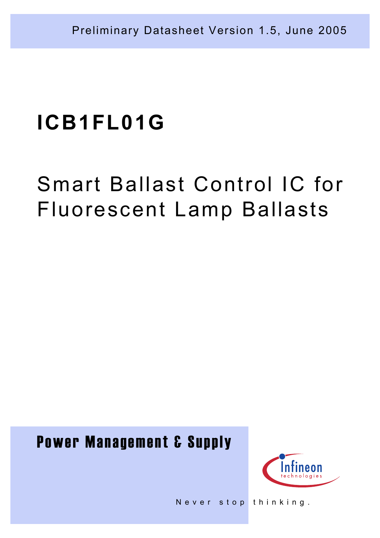# Smart Ballast Control IC for Fluorescent Lamp Ballasts

## Power Management & Supply



Never stop thinking.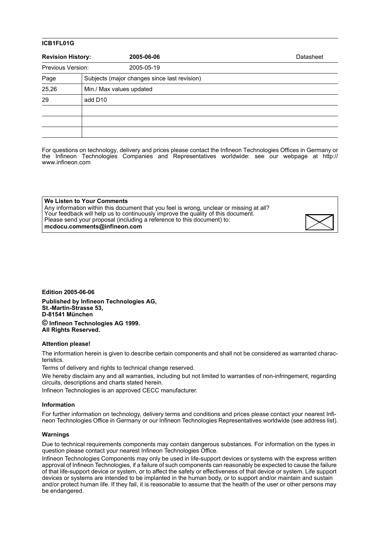| <b>Revision History:</b> |                     | 2005-06-06                                   | Datasheet |
|--------------------------|---------------------|----------------------------------------------|-----------|
| Previous Version:        |                     | 2005-05-19                                   |           |
| Page                     |                     | Subjects (major changes since last revision) |           |
| 25,26                    |                     | Min./ Max values updated                     |           |
| 29                       | add D <sub>10</sub> |                                              |           |
|                          |                     |                                              |           |
|                          |                     |                                              |           |
|                          |                     |                                              |           |

For questions on technology, delivery and prices please contact the Infineon Technologies Offices in Germany or the Infineon Technologies Companies and Representatives worldwide: see our webpage at http:// www.infineon.com

| We Listen to Your Comments                                                              |
|-----------------------------------------------------------------------------------------|
| Any information within this document that you feel is wrong, unclear or missing at all? |
| Your feedback will help us to continuously improve the quality of this document.        |
| Please send your proposal (including a reference to this document) to:                  |
| mcdocu.comments@infineon.com                                                            |

**Edition 2005-06-06**

**Published by Infineon Technologies AG, St.-Martin-Strasse 53, D-81541 München © Infineon Technologies AG 1999. All Rights Reserved.**

#### **Attention please!**

The information herein is given to describe certain components and shall not be considered as warranted characteristics.

Terms of delivery and rights to technical change reserved.

We hereby disclaim any and all warranties, including but not limited to warranties of non-infringement, regarding circuits, descriptions and charts stated herein.

Infineon Technologies is an approved CECC manufacturer.

#### **Information**

For further information on technology, delivery terms and conditions and prices please contact your nearest Infineon Technologies Office in Germany or our Infineon Technologies Representatives worldwide (see address list).

#### **Warnings**

Due to technical requirements components may contain dangerous substances. For information on the types in question please contact your nearest Infineon Technologies Office.

Infineon Technologies Components may only be used in life-support devices or systems with the express written approval of Infineon Technologies, if a failure of such components can reasonably be expected to cause the failure of that life-support device or system, or to affect the safety or effectiveness of that device or system. Life support devices or systems are intended to be implanted in the human body, or to support and/or maintain and sustain and/or protect human life. If they fail, it is reasonable to assume that the health of the user or other persons may be endangered.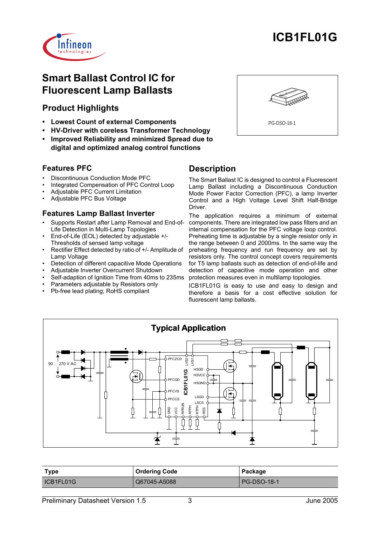

## **Smart Ballast Control IC for Fluorescent Lamp Ballasts**

## **Product Highlights**

- **Lowest Count of external Components**
- **HV-Driver with coreless Transformer Technology**
- **Improved Reliability and minimized Spread due to digital and optimized analog control functions**

## **Features PFC**

- Discontinuous Conduction Mode PFC
- Integrated Compensation of PFC Control Loop
- Adjustable PFC Current Limitation
- Adjustable PFC Bus Voltage

#### **Features Lamp Ballast Inverter**

- Supports Restart after Lamp Removal and End-of-Life Detection in Multi-Lamp Topologies
- End-of-Life (EOL) detected by adjustable +/- Thresholds of sensed lamp voltage
- Rectifier Effect detected by ratio of +/- Amplitude of Lamp Voltage
- Detection of different capacitive Mode Operations
- Adjustable Inverter Overcurrent Shutdown
- Self-adaption of Ignition Time from 40ms to 235ms
- Parameters adjustable by Resistors only
- Pb-free lead plating; RoHS compliant



## **Description**

The Smart Ballast IC is designed to control a Fluorescent Lamp Ballast including a Discontinuous Conduction Mode Power Factor Correction (PFC), a lamp Inverter Control and a High Voltage Level Shift Half-Bridge Driver.

The application requires a minimum of external components. There are integrated low pass filters and an internal compensation for the PFC voltage loop control. Preheating time is adjustable by a single resistor only in the range between 0 and 2000ms. In the same way the preheating frequency and run frequency are set by resistors only. The control concept covers requirements for T5 lamp ballasts such as detection of end-of-life and detection of capacitive mode operation and other protection measures even in multilamp topologies.

ICB1FL01G is easy to use and easy to design and therefore a basis for a cost effective solution for fluorescent lamp ballasts.



| Type      | <b>Ordering Code</b> | Package            |  |  |
|-----------|----------------------|--------------------|--|--|
| ICB1FL01G | Q67045-A5088         | <b>PG-DSO-18-1</b> |  |  |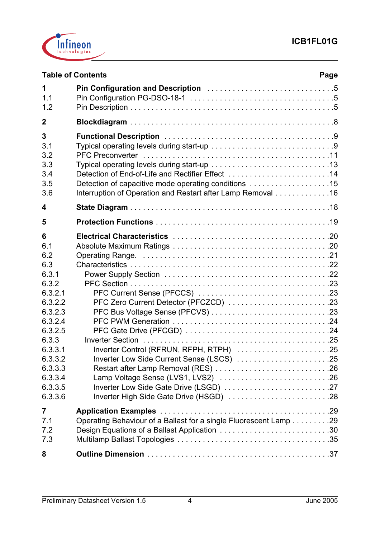

|                                                                                                                                                                            | <b>Table of Contents</b><br>Page                                                                                                                                        |
|----------------------------------------------------------------------------------------------------------------------------------------------------------------------------|-------------------------------------------------------------------------------------------------------------------------------------------------------------------------|
| 1<br>1.1<br>1.2                                                                                                                                                            |                                                                                                                                                                         |
| $\mathbf 2$                                                                                                                                                                |                                                                                                                                                                         |
| 3<br>3.1<br>3.2<br>3.3<br>3.4<br>3.5<br>3.6                                                                                                                                | Detection of End-of-Life and Rectifier Effect 14<br>Detection of capacitive mode operating conditions 15<br>Interruption of Operation and Restart after Lamp Removal 16 |
| 4                                                                                                                                                                          |                                                                                                                                                                         |
| 5                                                                                                                                                                          |                                                                                                                                                                         |
| 6<br>6.1<br>6.2<br>6.3<br>6.3.1<br>6.3.2<br>6.3.2.1<br>6.3.2.2<br>6.3.2.3<br>6.3.2.4<br>6.3.2.5<br>6.3.3<br>6.3.3.1<br>6.3.3.2<br>6.3.3.3<br>6.3.3.4<br>6.3.3.5<br>6.3.3.6 | PFC Zero Current Detector (PFCZCD) 23<br>Inverter Control (RFRUN, RFPH, RTPH) 25<br>Inverter Low Side Current Sense (LSCS) 25                                           |
| $\overline{7}$<br>7.1<br>7.2<br>7.3                                                                                                                                        | Operating Behaviour of a Ballast for a single Fluorescent Lamp 29<br>Design Equations of a Ballast Application 30                                                       |
| 8                                                                                                                                                                          |                                                                                                                                                                         |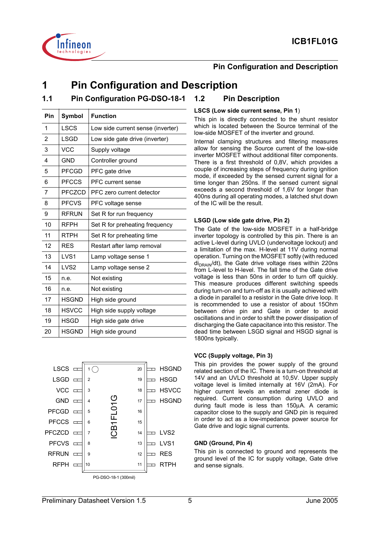



#### **Pin Configuration and Description**

## **1 Pin Configuration and Description**

## **1.1 Pin Configuration PG-DSO-18-1 1.2 Pin Description**

| Pin | Symbol           | <b>Function</b>                   |
|-----|------------------|-----------------------------------|
| 1   | <b>LSCS</b>      | Low side current sense (inverter) |
| 2   | <b>LSGD</b>      | Low side gate drive (inverter)    |
| 3   | <b>VCC</b>       | Supply voltage                    |
| 4   | <b>GND</b>       | Controller ground                 |
| 5   | <b>PFCGD</b>     | PFC gate drive                    |
| 6   | <b>PFCCS</b>     | PFC current sense                 |
| 7   | <b>PFCZCD</b>    | PFC zero current detector         |
| 8   | <b>PFCVS</b>     | PFC voltage sense                 |
| 9   | <b>RFRUN</b>     | Set R for run frequency           |
| 10  | <b>RFPH</b>      | Set R for preheating frequency    |
| 11  | RTPH             | Set R for preheating time         |
| 12  | <b>RES</b>       | Restart after lamp removal        |
| 13  | LVS <sub>1</sub> | Lamp voltage sense 1              |
| 14  | LVS <sub>2</sub> | Lamp voltage sense 2              |
| 15  | n.e.             | Not existing                      |
| 16  | n.e.             | Not existing                      |
| 17  | <b>HSGND</b>     | High side ground                  |
| 18  | <b>HSVCC</b>     | High side supply voltage          |
| 19  | <b>HSGD</b>      | High side gate drive              |
| 20  | <b>HSGND</b>     | High side ground                  |



#### **LSCS (Low side current sense, Pin 1**)

This pin is directly connected to the shunt resistor which is located between the Source terminal of the low-side MOSFET of the inverter and ground.

Internal clamping structures and filtering measures allow for sensing the Source current of the low-side inverter MOSFET without additional filter components. There is a first threshold of 0,8V, which provides a couple of increasing steps of frequency during ignition mode, if exceeded by the sensed current signal for a time longer than 250ns. If the sensed current signal exceeds a second threshold of 1,6V for longer than 400ns during all operating modes, a latched shut down of the IC will be the result.

#### **LSGD (Low side gate drive, Pin 2)**

The Gate of the low-side MOSFET in a half-bridge inverter topology is controlled by this pin. There is an active L-level during UVLO (undervoltage lockout) and a limitation of the max. H-level at 11V during normal operation. Turning on the MOSFET softly (with reduced  $di<sub>DRAIN</sub>/dt$ ), the Gate drive voltage rises within 220ns from L-level to H-level. The fall time of the Gate drive voltage is less than 50ns in order to turn off quickly. This measure produces different switching speeds during turn-on and turn-off as it is usually achieved with a diode in parallel to a resistor in the Gate drive loop. It is recommended to use a resistor of about 15Ohm between drive pin and Gate in order to avoid oscillations and in order to shift the power dissipation of discharging the Gate capacitance into this resistor. The dead time between LSGD signal and HSGD signal is 1800ns typically.

#### **VCC (Supply voltage, Pin 3)**

This pin provides the power supply of the ground related section of the IC. There is a turn-on threshold at 14V and an UVLO threshold at 10,5V. Upper supply voltage level is limited internally at 16V (2mA). For higher current levels an external zener diode is required. Current consumption during UVLO and during fault mode is less than 150µA. A ceramic capacitor close to the supply and GND pin is required in order to act as a low-impedance power source for Gate drive and logic signal currents.

#### **GND (Ground, Pin 4)**

This pin is connected to ground and represents the ground level of the IC for supply voltage, Gate drive and sense signals.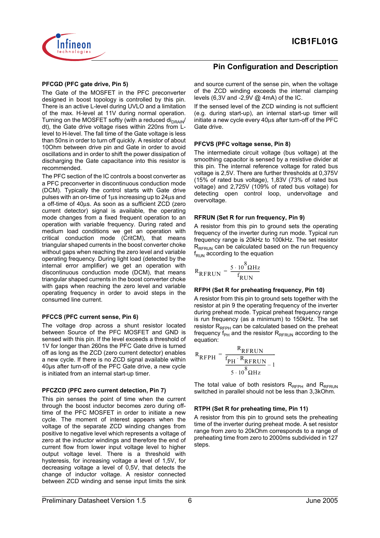

#### **PFCGD (PFC gate drive, Pin 5)**

The Gate of the MOSFET in the PFC preconverter designed in boost topology is controlled by this pin. There is an active L-level during UVLO and a limitation of the max. H-level at 11V during normal operation. Turning on the MOSFET softly (with a reduced  $di_{DRAIN}$ / dt), the Gate drive voltage rises within 220ns from Llevel to H-level. The fall time of the Gate voltage is less than 50ns in order to turn off quickly. A resistor of about 10Ohm between drive pin and Gate in order to avoid oscillations and in order to shift the power dissipation of discharging the Gate capacitance into this resistor is recommended.

The PFC section of the IC controls a boost converter as a PFC preconverter in discontinuous conduction mode (DCM). Typically the control starts with Gate drive pulses with an on-time of 1µs increasing up to 24µs and a off-time of 40µs. As soon as a sufficient ZCD (zero current detector) signal is available, the operating mode changes from a fixed frequent operation to an operation with variable frequency. During rated and medium load conditions we get an operation with critical conduction mode (CritCM), that means triangular shaped currents in the boost converter choke without gaps when reaching the zero level and variable operating frequency. During light load (detected by the internal error amplifier) we get an operation with discontinuous conduction mode (DCM), that means triangular shaped currents in the boost converter choke with gaps when reaching the zero level and variable operating frequency in order to avoid steps in the consumed line current.

#### **PFCCS (PFC current sense, Pin 6)**

The voltage drop across a shunt resistor located between Source of the PFC MOSFET and GND is sensed with this pin. If the level exceeds a threshold of 1V for longer than 260ns the PFC Gate drive is turned off as long as the ZCD (zero current detector) enables a new cycle. If there is no ZCD signal available within 40µs after turn-off of the PFC Gate drive, a new cycle is initiated from an internal start-up timer.

#### **PFCZCD (PFC zero current detection, Pin 7)**

This pin senses the point of time when the current through the boost inductor becomes zero during offtime of the PFC MOSFET in order to initiate a new cycle. The moment of interest appears when the voltage of the separate ZCD winding changes from positive to negative level which represents a voltage of zero at the inductor windings and therefore the end of current flow from lower input voltage level to higher output voltage level. There is a threshold with hysteresis, for increasing voltage a level of 1,5V, for decreasing voltage a level of 0,5V, that detects the change of inductor voltage. A resistor connected between ZCD winding and sense input limits the sink

#### **Pin Configuration and Description**

and source current of the sense pin, when the voltage of the ZCD winding exceeds the internal clamping levels (6,3V and -2,9V @ 4mA) of the IC.

If the sensed level of the ZCD winding is not sufficient (e.g. during start-up), an internal start-up timer will initiate a new cycle every 40µs after turn-off of the PFC Gate drive.

#### **PFCVS (PFC voltage sense, Pin 8)**

The intermediate circuit voltage (bus voltage) at the smoothing capacitor is sensed by a resistive divider at this pin. The internal reference voltage for rated bus voltage is 2,5V. There are further thresholds at 0,375V (15% of rated bus voltage), 1,83V (73% of rated bus voltage) and 2,725V (109% of rated bus voltage) for detecting open control loop, undervoltage and overvoltage.

#### **RFRUN (Set R for run frequency, Pin 9)**

A resistor from this pin to ground sets the operating frequency of the inverter during run mode. Typical run frequency range is 20kHz to 100kHz. The set resistor  $R_{RFRUN}$  can be calculated based on the run frequency  $f_{\text{RUN}}$  according to the equation

$$
R_{\text{RFRUN}} = \frac{5 \cdot 10^8 \Omega \text{Hz}}{f_{\text{RUN}}}
$$

#### **RFPH (Set R for preheating frequency, Pin 10)**

A resistor from this pin to ground sets together with the resistor at pin 9 the operating frequency of the inverter during preheat mode. Typical preheat frequency range is run frequency (as a minimum) to 150kHz. The set resistor  $R_{RFDH}$  can be calculated based on the preheat frequency  $f_{PH}$  and the resistor  $R_{RFRUN}$  according to the equation:

$$
R_{\text{RFPH}} = \frac{R_{\text{RFRUN}}}{\frac{f_{\text{PH}} \cdot R_{\text{RFRUN}}}{5 \cdot 10^8 \Omega \text{Hz}} - 1}
$$

The total value of both resistors  $R_{RFPH}$  and  $R_{RFRUN}$ switched in parallel should not be less than 3,3kOhm.

#### **RTPH (Set R for preheating time, Pin 11)**

A resistor from this pin to ground sets the preheating time of the inverter during preheat mode. A set resistor range from zero to 20kOhm corresponds to a range of preheating time from zero to 2000ms subdivided in 127 steps.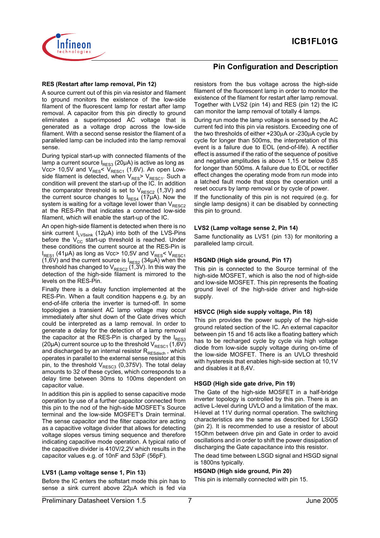

#### **RES (Restart after lamp removal, Pin 12)**

A source current out of this pin via resistor and filament to ground monitors the existence of the low-side filament of the fluorescent lamp for restart after lamp removal. A capacitor from this pin directly to ground eliminates a superimposed AC voltage that is generated as a voltage drop across the low-side filament. With a second sense resistor the filament of a paralleled lamp can be included into the lamp removal sense.

During typical start-up with connected filaments of the lamp a current source  $I_{RFS3}$  (20µA) is active as long as Vcc> 10,5V and  $V_{RES}< V_{RESC1}$  (1,6V). An open Lowside filament is detected, when  $V_{RES}$ >  $V_{RESC1}$ . Such a condition will prevent the start-up of the IC. In addition the comparator threshold is set to  $V_{RESC2}$  (1,3V) and the current source changes to  $I_{RES4}$  (17µA). Now the system is waiting for a voltage level lower than  $V_{RESC2}$ at the RES-Pin that indicates a connected low-side filament, which will enable the start-up of the IC.

An open high-side filament is detected when there is no sink current  $I_{LVSsink}$  (12µA) into both of the LVS-Pins before the  $V_{CC}$  start-up threshold is reached. Under these conditions the current source at the RES-Pin is  $I_{RES1}$  (41µA) as long as Vcc> 10,5V and  $V_{RES}$ <  $V_{RESC1}$ (1,6V) and the current source is  $I_{RES2}$  (34 $\mu$ A) when the threshold has changed to  $V_{RESC2}$  (1,3V). In this way the detection of the high-side filament is mirrored to the levels on the RES-Pin.

Finally there is a delay function implemented at the RES-Pin. When a fault condition happens e.g. by an end-of-life criteria the inverter is turned-off. In some topologies a transient AC lamp voltage may occur immediately after shut down of the Gate drives which could be interpreted as a lamp removal. In order to generate a delay for the detection of a lamp removal the capacitor at the RES-Pin is charged by the  $I_{RES3}$ (20µA) current source up to the threshold  $V_{RESC1}$  (1,6V) and discharged by an internal resistor  $R_{\text{RESdisch}}$  , which operates in parallel to the external sense resistor at this pin, to the threshold  $V_{RESC3}$  (0,375V). The total delay amounts to 32 of these cycles, which corresponds to a delay time between 30ms to 100ms dependent on capacitor value.

In addition this pin is applied to sense capacitive mode operation by use of a further capacitor connected from this pin to the nod of the high-side MOSFET's Source terminal and the low-side MOSFET's Drain terminal. The sense capacitor and the filter capacitor are acting as a capacitive voltage divider that allows for detecting voltage slopes versus timing sequence and therefore indicating capacitive mode operation. A typical ratio of the capacitive divider is 410V/2,2V which results in the capacitor values e.g. of 10nF and 53pF (56pF).

#### **LVS1 (Lamp voltage sense 1, Pin 13)**

Before the IC enters the softstart mode this pin has to sense a sink current above 22µA which is fed via

#### **Pin Configuration and Description**

resistors from the bus voltage across the high-side filament of the fluorescent lamp in order to monitor the existence of the filament for restart after lamp removal. Together with LVS2 (pin 14) and RES (pin 12) the IC can monitor the lamp removal of totally 4 lamps.

During run mode the lamp voltage is sensed by the AC current fed into this pin via resistors. Exceeding one of the two thresholds of either +230µA or -230µA cycle by cycle for longer than 500ms, the interpretation of this event is a failure due to EOL (end-of-life). A rectifier effect is assumed if the ratio of the sequence of positive and negative amplitudes is above 1,15 or below 0,85 for longer than 500ms. A failure due to EOL or rectifier effect changes the operating mode from run mode into a latched fault mode that stops the operation until a reset occurs by lamp removal or by cycle of power.

If the functionality of this pin is not required (e.g. for single lamp designs) it can be disabled by connecting this pin to ground.

#### **LVS2 (Lamp voltage sense 2, Pin 14)**

Same functionality as LVS1 (pin 13) for monitoring a paralleled lamp circuit.

#### **HSGND (High side ground, Pin 17)**

This pin is connected to the Source terminal of the high-side MOSFET, which is also the nod of high-side and low-side MOSFET. This pin represents the floating ground level of the high-side driver and high-side supply.

#### **HSVCC (High side supply voltage, Pin 18)**

This pin provides the power supply of the high-side ground related section of the IC. An external capacitor between pin 15 and 16 acts like a floating battery which has to be recharged cycle by cycle via high voltage diode from low-side supply voltage during on-time of the low-side MOSFET. There is an UVLO threshold with hysteresis that enables high-side section at 10,1V and disables it at 8,4V.

#### **HSGD (High side gate drive, Pin 19)**

The Gate of the high-side MOSFET in a half-bridge inverter topology is controlled by this pin. There is an active L-level during UVLO and a limitation of the max. H-level at 11V during normal operation. The switching characteristics are the same as described for LSGD (pin 2). It is recommended to use a resistor of about 15Ohm between drive pin and Gate in order to avoid oscillations and in order to shift the power dissipation of discharging the Gate capacitance into this resistor.

The dead time between LSGD signal and HSGD signal is 1800ns typically.

#### **HSGND (High side ground, Pin 20)**

This pin is internally connected with pin 15.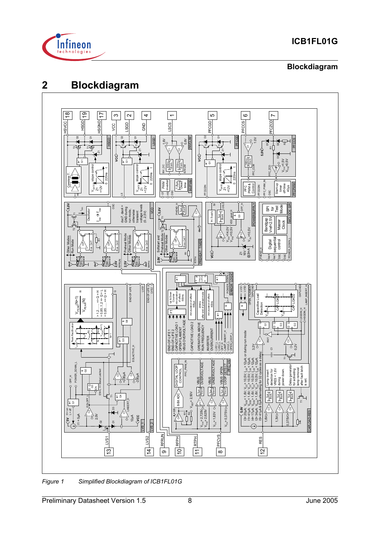

## **Blockdiagram**

## **2 Blockdiagram**



*Figure 1 Simplified Blockdiagram of ICB1FL01G*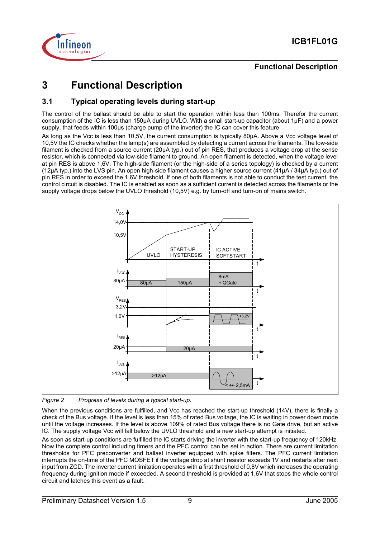

## **Functional Description**

## **3 Functional Description**

### **3.1 Typical operating levels during start-up**

The control of the ballast should be able to start the operation within less than 100ms. Therefor the current consumption of the IC is less than 150µA during UVLO. With a small start-up capacitor (about 1µF) and a power supply, that feeds within 100µs (charge pump of the inverter) the IC can cover this feature.

As long as the Vcc is less than 10,5V, the current consumption is typically 80µA. Above a Vcc voltage level of 10,5V the IC checks whether the lamp(s) are assembled by detecting a current across the filaments. The low-side filament is checked from a source current (20µA typ.) out of pin RES, that produces a voltage drop at the sense resistor, which is connected via low-side filament to ground. An open filament is detected, when the voltage level at pin RES is above 1,6V. The high-side filament (or the high-side of a series topology) is checked by a current (12µA typ.) into the LVS pin. An open high-side filament causes a higher source current (41µA / 34µA typ.) out of pin RES in order to exceed the 1,6V threshold. If one of both filaments is not able to conduct the test current, the control circuit is disabled. The IC is enabled as soon as a sufficient current is detected across the filaments or the supply voltage drops below the UVLO threshold (10,5V) e.g. by turn-off and turn-on of mains switch.



*Figure 2 Progress of levels during a typical start-up.*

When the previous conditions are fulfilled, and Vcc has reached the start-up threshold (14V), there is finally a check of the Bus voltage. If the level is less than 15% of rated Bus voltage, the IC is waiting in power down mode until the voltage increases. If the level is above 109% of rated Bus voltage there is no Gate drive, but an active IC. The supply voltage Vcc will fall below the UVLO threshold and a new start-up attempt is initiated.

As soon as start-up conditions are fulfilled the IC starts driving the inverter with the start-up frequency of 120kHz. Now the complete control including timers and the PFC control can be set in action. There are current limitation thresholds for PFC preconverter and ballast inverter equipped with spike filters. The PFC current limitation interrupts the on-time of the PFC MOSFET if the voltage drop at shunt resistor exceeds 1V and restarts after next input from ZCD. The inverter current limitation operates with a first threshold of 0,8V which increases the operating frequency during ignition mode if exceeded. A second threshold is provided at 1,6V that stops the whole control circuit and latches this event as a fault.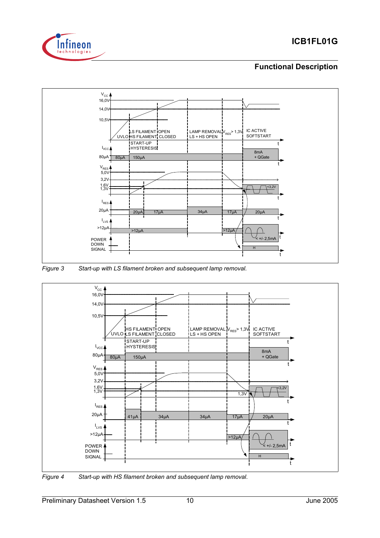

## **Functional Description**







*Figure 4 Start-up with HS filament broken and subsequent lamp removal.*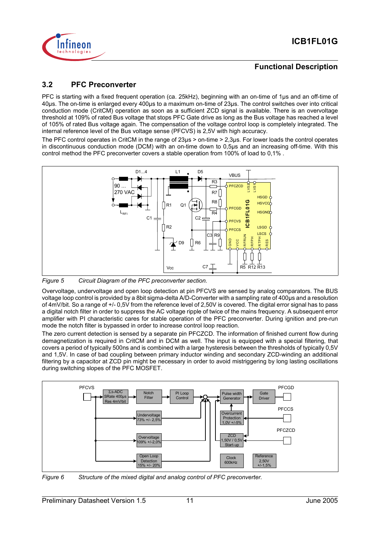

### **Functional Description**

### **3.2 PFC Preconverter**

PFC is starting with a fixed frequent operation (ca. 25kHz), beginning with an on-time of 1µs and an off-time of 40µs. The on-time is enlarged every 400µs to a maximum on-time of 23µs. The control switches over into critical conduction mode (CritCM) operation as soon as a sufficient ZCD signal is available. There is an overvoltage threshold at 109% of rated Bus voltage that stops PFC Gate drive as long as the Bus voltage has reached a level of 105% of rated Bus voltage again. The compensation of the voltage control loop is completely integrated. The internal reference level of the Bus voltage sense (PFCVS) is 2,5V with high accuracy.

The PFC control operates in CritCM in the range of 23µs > on-time > 2,3µs. For lower loads the control operates in discontinuous conduction mode (DCM) with an on-time down to 0,5µs and an increasing off-time. With this control method the PFC preconverter covers a stable operation from 100% of load to 0,1% .



*Figure 5 Circuit Diagram of the PFC preconverter section.*

Overvoltage, undervoltage and open loop detection at pin PFCVS are sensed by analog comparators. The BUS voltage loop control is provided by a 8bit sigma-delta A/D-Converter with a sampling rate of 400µs and a resolution of 4mV/bit. So a range of +/- 0,5V from the reference level of 2,50V is covered. The digital error signal has to pass a digital notch filter in order to suppress the AC voltage ripple of twice of the mains frequency. A subsequent error amplifier with PI characteristic cares for stable operation of the PFC preconverter. During ignition and pre-run mode the notch filter is bypassed in order to increase control loop reaction.

The zero current detection is sensed by a separate pin PFCZCD. The information of finished current flow during demagnetization is required in CritCM and in DCM as well. The input is equipped with a special filtering, that covers a period of typically 500ns and is combined with a large hysteresis between the thresholds of typically 0,5V and 1,5V. In case of bad coupling between primary inductor winding and secondary ZCD-winding an additional filtering by a capacitor at ZCD pin might be necessary in order to avoid mistriggering by long lasting oscillations during switching slopes of the PFC MOSFET.

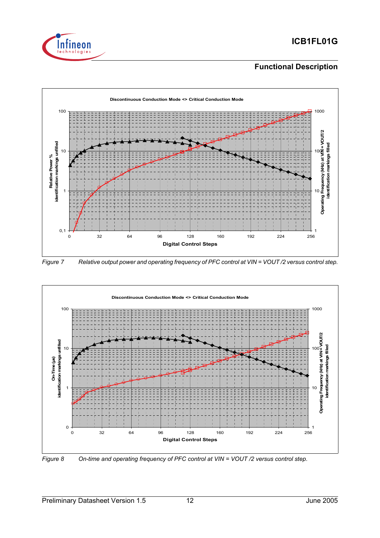

## **Functional Description**



*Figure 7 Relative output power and operating frequency of PFC control at VIN = VOUT /2 versus control step.*



*Figure 8 On-time and operating frequency of PFC control at VIN = VOUT /2 versus control step.*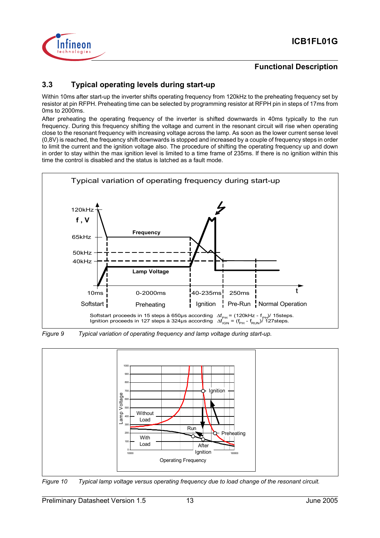

### **Functional Description**

## **3.3 Typical operating levels during start-up**

Within 10ms after start-up the inverter shifts operating frequency from 120kHz to the preheating frequency set by resistor at pin RFPH. Preheating time can be selected by programming resistor at RFPH pin in steps of 17ms from 0ms to 2000ms.

After preheating the operating frequency of the inverter is shifted downwards in 40ms typically to the run frequency. During this frequency shifting the voltage and current in the resonant circuit will rise when operating close to the resonant frequency with increasing voltage across the lamp. As soon as the lower current sense level (0,8V) is reached, the frequency shift downwards is stopped and increased by a couple of frequency steps in order to limit the current and the ignition voltage also. The procedure of shifting the operating frequency up and down in order to stay within the max ignition level is limited to a time frame of 235ms. If there is no ignition within this time the control is disabled and the status is latched as a fault mode.







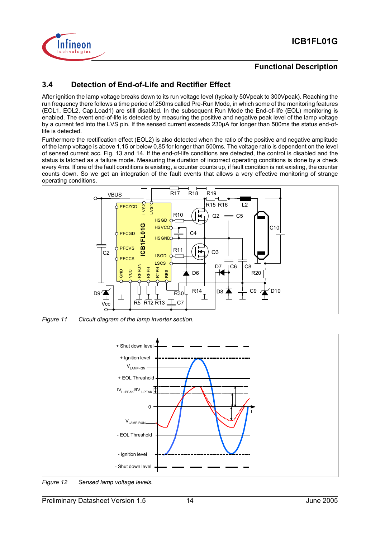

#### **Functional Description**

## **3.4 Detection of End-of-Life and Rectifier Effect**

After ignition the lamp voltage breaks down to its run voltage level (typically 50Vpeak to 300Vpeak). Reaching the run frequency there follows a time period of 250ms called Pre-Run Mode, in which some of the monitoring features (EOL1, EOL2, Cap.Load1) are still disabled. In the subsequent Run Mode the End-of-life (EOL) monitoring is enabled. The event end-of-life is detected by measuring the positive and negative peak level of the lamp voltage by a current fed into the LVS pin. If the sensed current exceeds 230µA for longer than 500ms the status end-oflife is detected.

Furthermore the rectification effect (EOL2) is also detected when the ratio of the positive and negative amplitude of the lamp voltage is above 1,15 or below 0,85 for longer than 500ms. The voltage ratio is dependent on the level of sensed current acc. Fig. 13 and 14. If the end-of-life conditions are detected, the control is disabled and the status is latched as a failure mode. Measuring the duration of incorrect operating conditions is done by a check every 4ms. If one of the fault conditions is existing, a counter counts up, if fault condition is not existing, the counter counts down. So we get an integration of the fault events that allows a very effective monitoring of strange operating conditions.



*Figure 11 Circuit diagram of the lamp inverter section.*

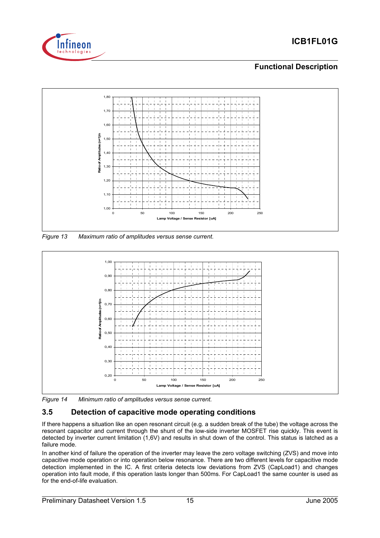

## **Functional Description**



*Figure 13 Maximum ratio of amplitudes versus sense current.*



*Figure 14 Minimum ratio of amplitudes versus sense current.*

## **3.5 Detection of capacitive mode operating conditions**

If there happens a situation like an open resonant circuit (e.g. a sudden break of the tube) the voltage across the resonant capacitor and current through the shunt of the low-side inverter MOSFET rise quickly. This event is detected by inverter current limitation (1,6V) and results in shut down of the control. This status is latched as a failure mode.

In another kind of failure the operation of the inverter may leave the zero voltage switching (ZVS) and move into capacitive mode operation or into operation below resonance. There are two different levels for capacitive mode detection implemented in the IC. A first criteria detects low deviations from ZVS (CapLoad1) and changes operation into fault mode, if this operation lasts longer than 500ms. For CapLoad1 the same counter is used as for the end-of-life evaluation.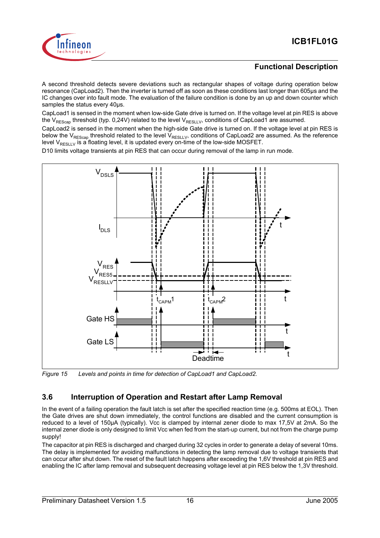

### **Functional Description**

A second threshold detects severe deviations such as rectangular shapes of voltage during operation below resonance (CapLoad2). Then the inverter is turned off as soon as these conditions last longer than 605µs and the IC changes over into fault mode. The evaluation of the failure condition is done by an up and down counter which samples the status every 40µs.

CapLoad1 is sensed in the moment when low-side Gate drive is turned on. If the voltage level at pin RES is above the V<sub>REScap</sub> threshold (typ. 0,24V) related to the level V<sub>RESLLV</sub>, conditions of CapLoad1 are assumed.

CapLoad2 is sensed in the moment when the high-side Gate drive is turned on. If the voltage level at pin RES is below the V<sub>REScap</sub> threshold related to the level V<sub>RESLLV</sub>, conditions of CapLoad2 are assumed. As the reference level V $_{\sf RESULT}$  is a floating level, it is updated every on-time of the low-side MOSFET.

D10 limits voltage transients at pin RES that can occur during removal of the lamp in run mode.



*Figure 15 Levels and points in time for detection of CapLoad1 and CapLoad2.*

## **3.6 Interruption of Operation and Restart after Lamp Removal**

In the event of a failing operation the fault latch is set after the specified reaction time (e.g. 500ms at EOL). Then the Gate drives are shut down immediately, the control functions are disabled and the current consumption is reduced to a level of 150µA (typically). Vcc is clamped by internal zener diode to max 17,5V at 2mA. So the internal zener diode is only designed to limit Vcc when fed from the start-up current, but not from the charge pump supply!

The capacitor at pin RES is discharged and charged during 32 cycles in order to generate a delay of several 10ms. The delay is implemented for avoiding malfunctions in detecting the lamp removal due to voltage transients that can occur after shut down. The reset of the fault latch happens after exceeding the 1,6V threshold at pin RES and enabling the IC after lamp removal and subsequent decreasing voltage level at pin RES below the 1,3V threshold.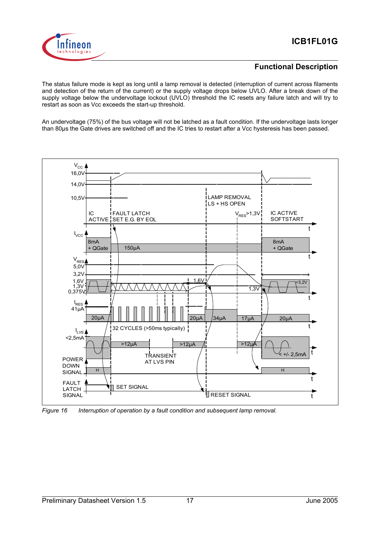



#### **Functional Description**

The status failure mode is kept as long until a lamp removal is detected (interruption of current across filaments and detection of the return of the current) or the supply voltage drops below UVLO. After a break down of the supply voltage below the undervoltage lockout (UVLO) threshold the IC resets any failure latch and will try to restart as soon as Vcc exceeds the start-up threshold.

An undervoltage (75%) of the bus voltage will not be latched as a fault condition. If the undervoltage lasts longer than 80µs the Gate drives are switched off and the IC tries to restart after a Vcc hysteresis has been passed.



*Figure 16 Interruption of operation by a fault condition and subsequent lamp removal.*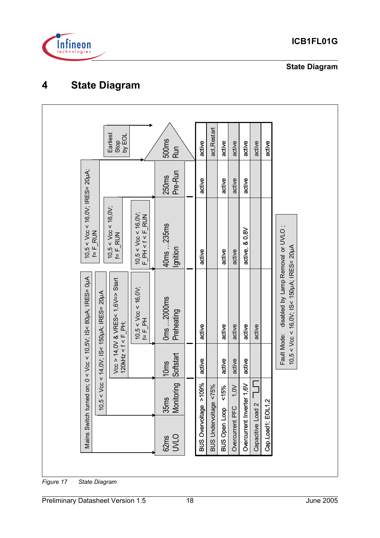

**State Diagram**

## **4 State Diagram**

| $10,5 < V_{CC} < 16,0V$ ; IRES= 20µA;<br>Pre-Run<br>250 <sub>ms</sub><br>active<br>active<br>active<br>active<br>10,5 < $\sqrt{6}$ < 16,0V;<br>f= F_RUN<br>10,5 < Vcc < 16,0V;<br>F_PH < f < F_RUN<br>F_<br>40ms 235ms<br>disabled by Lamp Removal or UVLO;<br>active, & 0,8V<br>$f = F_R UN$<br>Ignition<br>active<br>active<br>active<br>10,5 < Vcc < 16,0V;<br>f= F_PH<br>0ms 2000ms<br>Preheating<br>active<br>active<br>active<br>active<br>active | $10,5 < V_{CC} < 16,0V$ ; IS< $150 \mu$ A; IRES= $20 \mu$ A<br>on; $0 < V_{CC} < 10,5V$ ; IS< 80µA; IRES= 0µA<br>Vœ > 14,0V & VRES< 1,6V=> Start<br>120kHz < f < F_PH;<br>$Vcc < 14,0V$ ; IS< 150µA; IRES= 20µA<br>Fault Mode:<br>Softstart<br>active<br>active<br>active<br>active<br>10 <sub>ms</sub> |                     | Earliest<br>by EOL<br>Stop | 500ms<br><b>Run</b> | active                | act, Restart          | active               | active          | active                 | active            | active            |  |
|---------------------------------------------------------------------------------------------------------------------------------------------------------------------------------------------------------------------------------------------------------------------------------------------------------------------------------------------------------------------------------------------------------------------------------------------------------|---------------------------------------------------------------------------------------------------------------------------------------------------------------------------------------------------------------------------------------------------------------------------------------------------------|---------------------|----------------------------|---------------------|-----------------------|-----------------------|----------------------|-----------------|------------------------|-------------------|-------------------|--|
|                                                                                                                                                                                                                                                                                                                                                                                                                                                         |                                                                                                                                                                                                                                                                                                         |                     |                            |                     |                       |                       |                      |                 |                        |                   |                   |  |
|                                                                                                                                                                                                                                                                                                                                                                                                                                                         |                                                                                                                                                                                                                                                                                                         |                     |                            |                     |                       |                       |                      |                 |                        |                   |                   |  |
|                                                                                                                                                                                                                                                                                                                                                                                                                                                         |                                                                                                                                                                                                                                                                                                         |                     |                            |                     |                       |                       |                      |                 |                        |                   |                   |  |
| ring<br>$\tilde{\mathsf{S}}$<br>$\leq$<br>5%<br>Monitor<br>10,5 <<br>Ŷ<br>35ms                                                                                                                                                                                                                                                                                                                                                                          |                                                                                                                                                                                                                                                                                                         | Mains Switch turned |                            | <b>UVLO</b><br>62ms | BUS Overvoltage >109% | BUS Undervoltage <75% | <b>BUS Open Loop</b> | Overcurrent PFC | Overcurrent Inverter 1 | Capacitive Load 2 | Cap.Load1; EOL1,2 |  |

*Figure 17 State Diagram*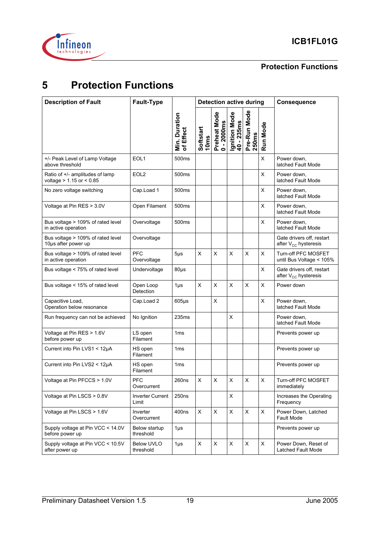

## **Protection Functions**

## **5 Protection Functions**

| <b>Description of Fault</b>                                     | Fault-Type                       |                            |                               |                            | <b>Detection active during</b> |                       | <b>Consequence</b> |                                                               |
|-----------------------------------------------------------------|----------------------------------|----------------------------|-------------------------------|----------------------------|--------------------------------|-----------------------|--------------------|---------------------------------------------------------------|
|                                                                 |                                  | Min. Duration<br>of Effect | Softstart<br>10 <sub>ms</sub> | Preheat Mode<br>0 - 2000ms | Ignition Mode<br>40 - 235ms    | Pre-Run Mode<br>250ms | Run Mode           |                                                               |
| +/- Peak Level of Lamp Voltage<br>above threshold               | EOL1                             | 500ms                      |                               |                            |                                |                       | X                  | Power down,<br>latched Fault Mode                             |
| Ratio of +/- amplitudes of lamp<br>voltage $> 1.15$ or $< 0.85$ | EOL <sub>2</sub>                 | 500 <sub>ms</sub>          |                               |                            |                                |                       | X                  | Power down,<br>latched Fault Mode                             |
| No zero voltage switching                                       | Cap.Load 1                       | 500 <sub>ms</sub>          |                               |                            |                                |                       | X                  | Power down,<br>latched Fault Mode                             |
| Voltage at Pin RES > 3.0V                                       | Open Filament                    | 500ms                      |                               |                            |                                |                       | X                  | Power down,<br>latched Fault Mode                             |
| Bus voltage > 109% of rated level<br>in active operation        | Overvoltage                      | 500 <sub>ms</sub>          |                               |                            |                                |                       | X                  | Power down,<br>latched Fault Mode                             |
| Bus voltage > 109% of rated level<br>10µs after power up        | Overvoltage                      |                            |                               |                            |                                |                       |                    | Gate drivers off, restart<br>after V <sub>CC</sub> hysteresis |
| Bus voltage > 109% of rated level<br>in active operation        | <b>PFC</b><br>Overvoltage        | $5\mu$ s                   | X                             | X                          | Χ                              | Χ                     | X                  | Turn-off PFC MOSFET<br>until Bus Voltage < 105%               |
| Bus voltage < 75% of rated level                                | Undervoltage                     | $80\mu s$                  |                               |                            |                                |                       | X                  | Gate drivers off, restart<br>after V <sub>CC</sub> hysteresis |
| Bus voltage < 15% of rated level                                | Open Loop<br>Detection           | $1\mu$ s                   | X                             | X                          | X                              | Χ                     | X                  | Power down                                                    |
| Capacitive Load,<br>Operation below resonance                   | Cap.Load 2                       | $605\mu s$                 |                               | X                          |                                |                       | X                  | Power down,<br>latched Fault Mode                             |
| Run frequency can not be achieved                               | No Ignition                      | 235ms                      |                               |                            | Χ                              |                       |                    | Power down,<br>latched Fault Mode                             |
| Voltage at Pin RES > 1.6V<br>before power up                    | LS open<br>Filament              | 1 <sub>ms</sub>            |                               |                            |                                |                       |                    | Prevents power up                                             |
| Current into Pin LVS1 < 12µA                                    | HS open<br>Filament              | 1 <sub>ms</sub>            |                               |                            |                                |                       |                    | Prevents power up                                             |
| Current into Pin LVS2 < 12µA                                    | HS open<br>Filament              | 1 <sub>ms</sub>            |                               |                            |                                |                       |                    | Prevents power up                                             |
| Voltage at Pin PFCCS > 1.0V                                     | <b>PFC</b><br>Overcurrent        | 260ns                      | X                             | $\mathsf X$                | $\pmb{\mathsf{X}}$             | $\pmb{\mathsf{X}}$    | Χ                  | Turn-off PFC MOSFET<br>immediately                            |
| Voltage at Pin LSCS > 0.8V                                      | <b>Inverter Current</b><br>Limit | 250ns                      |                               |                            | X                              |                       |                    | Increases the Operating<br>Frequency                          |
| Voltage at Pin LSCS > 1.6V                                      | Inverter<br>Overcurrent          | 400ns                      | X                             | X                          | X                              | X                     | X                  | Power Down, Latched<br>Fault Mode                             |
| Supply voltage at Pin VCC < 14.0V<br>before power up            | Below startup<br>threshold       | $1\mu$ s                   |                               |                            |                                |                       |                    | Prevents power up                                             |
| Supply voltage at Pin VCC < 10.5V<br>after power up             | Below UVLO<br>threshold          | $1\mu$ s                   | X                             | X                          | X                              | X                     | X                  | Power Down, Reset of<br>Latched Fault Mode                    |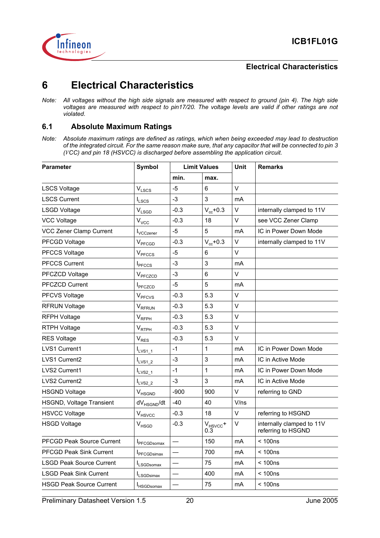

## **6 Electrical Characteristics**

*Note: All voltages without the high side signals are measured with respect to ground (pin 4). The high side voltages are measured with respect to pin17/20. The voltage levels are valid if other ratings are not violated.*

### **6.1 Absolute Maximum Ratings**

*Note: Absolute maximum ratings are defined as ratings, which when being exceeded may lead to destruction of the integrated circuit. For the same reason make sure, that any capacitor that will be connected to pin 3 (VCC) and pin 18 (HSVCC) is discharged before assembling the application circuit.*

| <b>Parameter</b>                 | <b>Symbol</b>                | <b>Limit Values</b> |                      | Unit   | <b>Remarks</b>                                  |
|----------------------------------|------------------------------|---------------------|----------------------|--------|-------------------------------------------------|
|                                  |                              | min.                | max.                 |        |                                                 |
| <b>LSCS Voltage</b>              | $\mathsf{V}_{\mathsf{LSCS}}$ | $-5$                | 6                    | V      |                                                 |
| <b>LSCS Current</b>              | $I_{LSCS}$                   | $-3$                | 3                    | mA     |                                                 |
| <b>LSGD Voltage</b>              | $V_{LSGD}$                   | $-0.3$              | $V_{cc}$ +0.3        | V      | internally clamped to 11V                       |
| <b>VCC Voltage</b>               | $V_{VCC}$                    | $-0.3$              | 18                   | V      | see VCC Zener Clamp                             |
| VCC Zener Clamp Current          | <b>I</b> <sub>VCCzener</sub> | $-5$                | 5                    | mA     | IC in Power Down Mode                           |
| PFCGD Voltage                    | V <sub>PFCGD</sub>           | $-0.3$              | $V_{cc}$ +0.3        | V      | internally clamped to 11V                       |
| <b>PFCCS Voltage</b>             | V <sub>PFCCS</sub>           | $-5$                | 6                    | V      |                                                 |
| <b>PFCCS Current</b>             | <b>I</b> <sub>PFCCS</sub>    | -3                  | 3                    | mA     |                                                 |
| PFCZCD Voltage                   | V <sub>PFCZCD</sub>          | $-3$                | 6                    | $\vee$ |                                                 |
| <b>PFCZCD Current</b>            | <b>I</b> PFCZCD              | $-5$                | 5                    | mA     |                                                 |
| <b>PFCVS Voltage</b>             | V <sub>PFCVS</sub>           | $-0.3$              | 5.3                  | V      |                                                 |
| <b>RFRUN Voltage</b>             | V <sub>RFRUN</sub>           | $-0.3$              | 5.3                  | V      |                                                 |
| RFPH Voltage                     | $V_{RFPH}$                   | $-0.3$              | 5.3                  | $\vee$ |                                                 |
| RTPH Voltage                     | $V_{RTPH}$                   | $-0.3$              | 5.3                  | V      |                                                 |
| <b>RES Voltage</b>               | $V_{RES}$                    | $-0.3$              | 5.3                  | V      |                                                 |
| <b>LVS1 Current1</b>             | $I_{LVS1}$ 1                 | $-1$                | 1                    | mA     | IC in Power Down Mode                           |
| <b>LVS1 Current2</b>             | $I_{LVS1_2}$                 | -3                  | 3                    | mA     | IC in Active Mode                               |
| <b>LVS2 Current1</b>             | $I_{LVS2\_1}$                | $-1$                | 1                    | mA     | IC in Power Down Mode                           |
| <b>LVS2 Current2</b>             | $I_{LVS2_2}$                 | $-3$                | 3                    | mA     | IC in Active Mode                               |
| <b>HSGND Voltage</b>             | V <sub>HSGND</sub>           | $-900$              | 900                  | V      | referring to GND                                |
| <b>HSGND, Voltage Transient</b>  | dV <sub>HSGND</sub> /dt      | $-40$               | 40                   | V/ns   |                                                 |
| <b>HSVCC Voltage</b>             | V <sub>HSVCC</sub>           | $-0.3$              | 18                   | V      | referring to HSGND                              |
| <b>HSGD Voltage</b>              | V <sub>HSGD</sub>            | $-0.3$              | $V_{HSVCC}$ +<br>0.3 | V      | internally clamped to 11V<br>referring to HSGND |
| <b>PFCGD Peak Source Current</b> | <b>I</b> PFCGDsomax          |                     | 150                  | mA     | < 100ns                                         |
| <b>PFCGD Peak Sink Current</b>   | <b>I</b> PFCGDsimax          |                     | 700                  | mA     | < 100ns                                         |
| <b>LSGD Peak Source Current</b>  | I <sub>LSGDsomax</sub>       |                     | 75                   | mA     | < 100ns                                         |
| <b>LSGD Peak Sink Current</b>    | <b>I</b> LSGDsimax           |                     | 400                  | mA     | < 100ns                                         |
| <b>HSGD Peak Source Current</b>  | <b>I</b> HSGDsomax           |                     | 75                   | mA     | < 100ns                                         |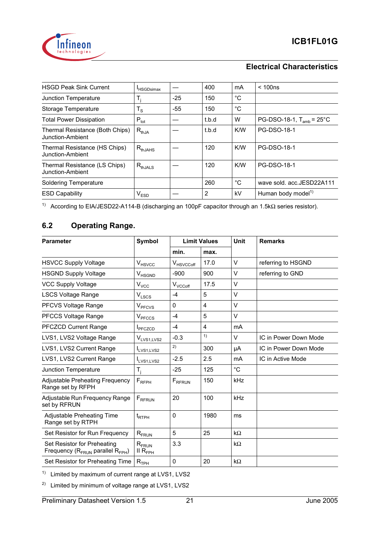

| <b>HSGD Peak Sink Current</b>                       | <sup>I</sup> HSGDsimax |       | 400   | mA          | < 100ns                        |
|-----------------------------------------------------|------------------------|-------|-------|-------------|--------------------------------|
| Junction Temperature                                | Τ.                     | $-25$ | 150   | $^{\circ}C$ |                                |
| Storage Temperature                                 | $T_S$                  | $-55$ | 150   | $^{\circ}C$ |                                |
| <b>Total Power Dissipation</b>                      | $P_{\text{tot}}$       |       | t.b.d | W           | PG-DSO-18-1, $T_{amb}$ = 25°C  |
| Thermal Resistance (Both Chips)<br>Junction-Ambient | $R_{thJA}$             |       | t.b.d | K/W         | <b>PG-DSO-18-1</b>             |
| Thermal Resistance (HS Chips)<br>Junction-Ambient   | $R_{thJAHS}$           |       | 120   | K/W         | <b>PG-DSO-18-1</b>             |
| Thermal Resistance (LS Chips)<br>Junction-Ambient   | $R_{thJALS}$           |       | 120   | K/W         | <b>PG-DSO-18-1</b>             |
| <b>Soldering Temperature</b>                        |                        |       | 260   | $^{\circ}C$ | wave sold. acc.JESD22A111      |
| <b>ESD Capability</b>                               | $V_{ESD}$              |       | 2     | kV          | Human body model <sup>1)</sup> |
|                                                     |                        |       |       |             |                                |

<sup>1)</sup> According to EIA/JESD22-A114-B (discharging an 100pF capacitor through an 1.5kΩ series resistor).

## **6.2 Operating Range.**

| <b>Parameter</b>                                                           | Symbol                              |                           | <b>Limit Values</b> | <b>Unit</b>  | <b>Remarks</b>        |
|----------------------------------------------------------------------------|-------------------------------------|---------------------------|---------------------|--------------|-----------------------|
|                                                                            |                                     | min.                      | max.                |              |                       |
| <b>HSVCC Supply Voltage</b>                                                | V <sub>HSVCC</sub>                  | V <sub>HSVCCoff</sub>     | 17.0                | V            | referring to HSGND    |
| <b>HSGND Supply Voltage</b>                                                | V <sub>HSGND</sub>                  | $-900$                    | 900                 | V            | referring to GND      |
| <b>VCC Supply Voltage</b>                                                  | $V_{VCC}$                           | $V_{VCCoff}$              | 17.5                | $\vee$       |                       |
| <b>LSCS Voltage Range</b>                                                  | $V_{LSCS}$                          | $-4$                      | 5                   | V            |                       |
| PFCVS Voltage Range                                                        | <b>V<sub>PFCVS</sub></b>            | 0                         | 4                   | $\vee$       |                       |
| PFCCS Voltage Range                                                        | V <sub>PFCCS</sub>                  | $-4$                      | 5                   | $\vee$       |                       |
| PFCZCD Current Range                                                       | <b>I</b> PFCZCD                     | $-4$                      | 4                   | mA           |                       |
| LVS1, LVS2 Voltage Range                                                   | $V_{LVS1,LVS2}$                     | $-0.3$                    | 1)                  | $\vee$       | IC in Power Down Mode |
| LVS1, LVS2 Current Range                                                   | ILVS1,LVS2                          | 2)                        | 300                 | μA           | IC in Power Down Mode |
| LVS1, LVS2 Current Range                                                   | LVS <sub>1</sub> , LVS <sub>2</sub> | $-2.5$                    | 2.5                 | mA           | IC in Active Mode     |
| <b>Junction Temperature</b>                                                | $T_{j}$                             | $-25$                     | 125                 | $^{\circ}$ C |                       |
| <b>Adjustable Preheating Frequency</b><br>Range set by RFPH                | $F_{RFPH}$                          | <b>F</b> <sub>RFRUN</sub> | 150                 | kHz          |                       |
| Adjustable Run Frequency Range<br>set by RFRUN                             | $F_{RFRUN}$                         | 20                        | 100                 | kHz          |                       |
| Adjustable Preheating Time<br>Range set by RTPH                            | $t_{RTPH}$                          | $\Omega$                  | 1980                | ms           |                       |
| Set Resistor for Run Frequency                                             | $R_{FRUN}$                          | 5                         | 25                  | $k\Omega$    |                       |
| Set Resistor for Preheating<br>Frequency ( $R_{FRUN}$ parallel $R_{FPH}$ ) | $R_{FRUN}$<br>II R $_{\sf FPH}$     | 3.3                       |                     | $k\Omega$    |                       |
| Set Resistor for Preheating Time                                           | $R_{TPH}$                           | 0                         | 20                  | $k\Omega$    |                       |

<sup>1)</sup> Limited by maximum of current range at LVS1, LVS2

2) Limited by minimum of voltage range at LVS1, LVS2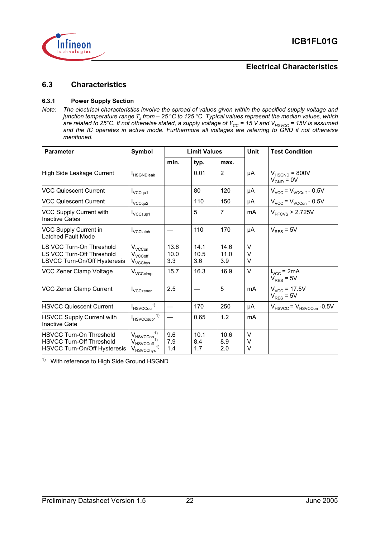

#### **6.3 Characteristics**

#### **6.3.1 Power Supply Section**

*Note: The electrical characteristics involve the spread of values given within the specified supply voltage and junction temperature range TJ from – 25* °*C to 125* °*C. Typical values represent the median values, which are related to 25°C. If not otherwise stated, a supply voltage of*  $V_{\rm CC}$  *= 15 V and*  $V_{\rm HSVCC}$  *= 15V is assumed and the IC operates in active mode. Furthermore all voltages are referring to GND if not otherwise mentioned.*

| <b>Parameter</b>                                                                                  | Symbol                                                                                  |                     | <b>Limit Values</b> |                     | Unit        | <b>Test Condition</b>                           |  |
|---------------------------------------------------------------------------------------------------|-----------------------------------------------------------------------------------------|---------------------|---------------------|---------------------|-------------|-------------------------------------------------|--|
|                                                                                                   |                                                                                         | min.                | typ.                | max.                |             |                                                 |  |
| High Side Leakage Current                                                                         | <b>IHSGNDIeak</b>                                                                       |                     | 0.01                | 2                   | μA          | $V_{HSGND}$ = 800V<br>$V_{GND} = 0V$            |  |
| <b>VCC Quiescent Current</b>                                                                      | $I_{VCCqu1}$                                                                            |                     | 80                  | 120                 | μA          | $V_{VCC}$ = $V_{VCCoff}$ - 0.5V                 |  |
| <b>VCC Quiescent Current</b>                                                                      | $I_{\text{VCCqu2}}$                                                                     |                     | 110                 | 150                 | μA          | $V_{VCC}$ = $V_{VCCon}$ - 0.5V                  |  |
| VCC Supply Current with<br><b>Inactive Gates</b>                                                  | I <sub>VCCsup1</sub>                                                                    |                     | 5                   | $\overline{7}$      | mA          | $VPFCVS$ > 2.725V                               |  |
| VCC Supply Current in<br>Latched Fault Mode                                                       | <b>I</b> VCClatch                                                                       |                     | 110                 | 170                 | μA          | $V_{RES} = 5V$                                  |  |
| LS VCC Turn-On Threshold<br>LS VCC Turn-Off Threshold<br>LSVCC Turn-On/Off Hysteresis             | $V_{VCCon}$<br>$V_{VCCoff}$<br>V <sub>VCChys</sub>                                      | 13.6<br>10.0<br>3.3 | 14.1<br>10.5<br>3.6 | 14.6<br>11.0<br>3.9 | V<br>V<br>V |                                                 |  |
| VCC Zener Clamp Voltage                                                                           | $V_{\text{VCCclmp}}$                                                                    | 15.7                | 16.3                | 16.9                | $\vee$      | $I_{VCC}$ = 2mA<br>$V_{RES}$ = 5V               |  |
| VCC Zener Clamp Current                                                                           | <b>I</b> VCCzener                                                                       | 2.5                 |                     | 5                   | mA          | $V_{VCC}$ = 17.5V<br>$V_{RES}$ = 5V             |  |
| <b>HSVCC Quiescent Current</b>                                                                    | $I_{H}$ svccqu <sup>1)</sup>                                                            |                     | 170                 | 250                 | μA          | $V_{\text{HSVCC}}$ = $V_{\text{HSVCCon}}$ -0.5V |  |
| <b>HSVCC Supply Current with</b><br><b>Inactive Gate</b>                                          | $I_{HSVCCsup1}^{1)}$                                                                    |                     | 0.65                | 1.2                 | mA          |                                                 |  |
| <b>HSVCC Turn-On Threshold</b><br><b>HSVCC Turn-Off Threshold</b><br>HSVCC Turn-On/Off Hysteresis | $V_{\text{HSVCCon}}^{1}$<br>$V_{\text{HSVCCoff}}$ <sup>1</sup><br>V <sub>HSVCChys</sub> | 9.6<br>7.9<br>1.4   | 10.1<br>8.4<br>1.7  | 10.6<br>8.9<br>2.0  | V<br>V<br>V |                                                 |  |

1) With reference to High Side Ground HSGND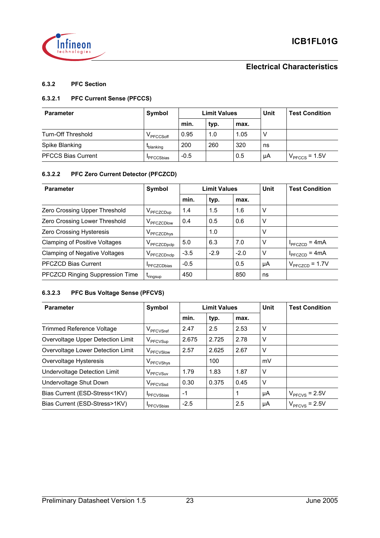

#### **6.3.2 PFC Section**

#### **6.3.2.1 PFC Current Sense (PFCCS)**

| Symbol<br><b>Limit Values</b><br><b>Parameter</b> |                   |        |      | Unit | <b>Test Condition</b> |                 |
|---------------------------------------------------|-------------------|--------|------|------|-----------------------|-----------------|
|                                                   |                   | min.   | typ. | max. |                       |                 |
| Turn-Off Threshold                                | V PFCCSoff        | 0.95   | 1.0  | 1.05 | V                     |                 |
| Spike Blanking                                    | <b>L</b> blanking | 200    | 260  | 320  | ns                    |                 |
| <b>PFCCS Bias Current</b>                         | <b>PFCCSbias</b>  | $-0.5$ |      | 0.5  | μA                    | $VPFCCS = 1.5V$ |

#### **6.3.2.2 PFC Zero Current Detector (PFCZCD)**

| <b>Parameter</b>                     | Symbol                      |        | <b>Limit Values</b> |        | Unit   | <b>Test Condition</b>             |
|--------------------------------------|-----------------------------|--------|---------------------|--------|--------|-----------------------------------|
|                                      |                             | min.   | typ.                | max.   |        |                                   |
| Zero Crossing Upper Threshold        | V <sub>PFCZCDup</sub>       | 1.4    | 1.5                 | 1.6    | V      |                                   |
| Zero Crossing Lower Threshold        | V <sub>PFCZCDlow</sub>      | 0.4    | 0.5                 | 0.6    | V      |                                   |
| Zero Crossing Hysteresis             | V <sub>PFCZCDhys</sub>      |        | 1.0                 |        | V      |                                   |
| <b>Clamping of Positive Voltages</b> | V <sub>PFCZCDpclp</sub>     | 5.0    | 6.3                 | 7.0    | $\vee$ | $I_{\text{PFCZCD}} = 4 \text{mA}$ |
| <b>Clamping of Negative Voltages</b> | V <sub>PFCZCDnclp</sub>     | $-3.5$ | $-2.9$              | $-2.0$ | V      | $I_{\text{PFCZCD}} = 4 \text{mA}$ |
| <b>PFCZCD Bias Current</b>           | <b>I</b> PFCZCDbias         | $-0.5$ |                     | 0.5    | μA     | $V_{\text{PFCZCD}} = 1.7V$        |
| PFCZCD Ringing Suppression Time      | <i>L</i> <sub>ringsup</sub> | 450    |                     | 850    | ns     |                                   |

#### **6.3.2.3 PFC Bus Voltage Sense (PFCVS)**

| <b>Parameter</b>                  | Symbol                |        | <b>Limit Values</b> |      | Unit | <b>Test Condition</b> |
|-----------------------------------|-----------------------|--------|---------------------|------|------|-----------------------|
|                                   |                       | min.   | typ.                | max. |      |                       |
| <b>Trimmed Reference Voltage</b>  | V <sub>PFCVSref</sub> | 2.47   | 2.5                 | 2.53 | V    |                       |
| Overvoltage Upper Detection Limit | $V$ PFCVSup           | 2.675  | 2.725               | 2.78 | V    |                       |
| Overvoltage Lower Detection Limit | V <sub>PFCVSlow</sub> | 2.57   | 2.625               | 2.67 | V    |                       |
| Overvoltage Hysteresis            | V <sub>PFCVShys</sub> |        | 100                 |      | mV   |                       |
| Undervoltage Detection Limit      | V <sub>PFCVSuv</sub>  | 1.79   | 1.83                | 1.87 | V    |                       |
| Undervoltage Shut Down            | V <sub>PFCVSsd</sub>  | 0.30   | 0.375               | 0.45 | V    |                       |
| Bias Current (ESD-Stress<1KV)     | <b>I</b> PFCVSbias    | $-1$   |                     |      | μA   | $VPFCVS = 2.5V$       |
| Bias Current (ESD-Stress>1KV)     | <b>I</b> PFCVSbias    | $-2.5$ |                     | 2.5  | μA   | $VPFCVS = 2.5V$       |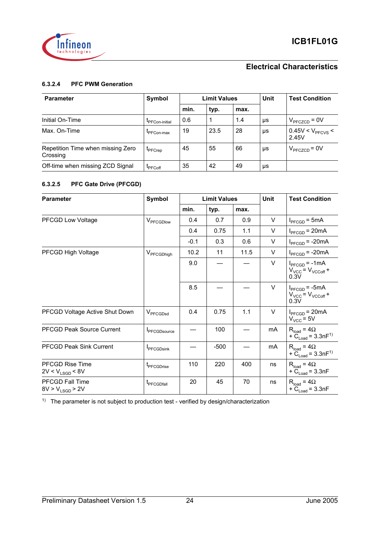

#### **6.3.2.4 PFC PWM Generation**

| <b>Parameter</b>                              | Symbol                 | <b>Limit Values</b> |      |      |    | <b>Test Condition</b>               |
|-----------------------------------------------|------------------------|---------------------|------|------|----|-------------------------------------|
|                                               |                        | min.                | typ. | max. |    |                                     |
| Initial On-Time                               | <b>I</b> PFCon-initial | 0.6                 |      | 1.4  | μs | $V_{\text{PFCZCD}} = 0V$            |
| Max. On-Time                                  | <b>IPFCon-max</b>      | 19                  | 23.5 | 28   | μs | 0.45V < V <sub>PFCVS</sub><br>2.45V |
| Repetition Time when missing Zero<br>Crossing | <b>L</b> PFCrep        | 45                  | 55   | 66   | μs | $V_{\text{PFCZCD}}$ = 0V            |
| Off-time when missing ZCD Signal              | <b>L</b> PFCoff        | 35                  | 42   | 49   | μs |                                     |

#### **6.3.2.5 PFC Gate Drive (PFCGD)**

| <b>Parameter</b>                               | Symbol                 |        | <b>Limit Values</b> |      | Unit   | <b>Test Condition</b>                                                   |
|------------------------------------------------|------------------------|--------|---------------------|------|--------|-------------------------------------------------------------------------|
|                                                |                        | min.   | typ.                | max. |        |                                                                         |
| <b>PFCGD Low Voltage</b>                       | V <sub>PFCGDlow</sub>  | 0.4    | 0.7                 | 0.9  | $\vee$ | $I_{\text{PFCGD}} = 5mA$                                                |
|                                                |                        | 0.4    | 0.75                | 1.1  | $\vee$ | $I_{\text{PFCGD}} = 20 \text{mA}$                                       |
|                                                |                        | $-0.1$ | 0.3                 | 0.6  | $\vee$ | $I_{\text{PFCGD}}$ = -20mA                                              |
| PFCGD High Voltage                             | V <sub>PFCGDhigh</sub> | 10.2   | 11                  | 11.5 | V      | $I_{\text{PFCGD}}$ = -20mA                                              |
|                                                |                        | 9.0    |                     |      | $\vee$ | $I_{\text{PFCGD}} = -1 \text{mA}$<br>$V_{VCC}$ = $V_{VCCoff}$ +<br>0.3V |
|                                                |                        | 8.5    |                     |      | $\vee$ | $I_{\text{PFCGD}}$ = -5mA<br>$V_{VCC}$ = $V_{VCCoff}$ +<br>0.3V         |
| PFCGD Voltage Active Shut Down                 | V <sub>PFCGDsd</sub>   | 0.4    | 0.75                | 1.1  | $\vee$ | $I_{\text{PFCGD}} = 20 \text{mA}$<br>$V_{VCC}$ = 5V                     |
| <b>PFCGD Peak Source Current</b>               | <b>I</b> PFCGDsource   |        | 100                 |      | mA     | $R_{load} = 4\Omega$<br>+ $\ddot{C}_{Load} = 3.3nF^{1}$                 |
| <b>PFCGD Peak Sink Current</b>                 | <b>I</b> PFCGDsink     |        | $-500$              |      | mA     | $R_{load} = 4\Omega$<br>+ $C_{Load}$ = 3.3nF <sup>1)</sup>              |
| <b>PFCGD Rise Time</b><br>$2V < V_{LSGD} < 8V$ | <sup>T</sup> PFCGDrise | 110    | 220                 | 400  | ns     | $R_{load} = 4\Omega$<br>+ $C_{Load}$ = 3.3nF                            |
| <b>PFCGD Fall Time</b><br>$8V > V_{LSGD} > 2V$ | <sup>L</sup> PFCGDfall | 20     | 45                  | 70   | ns     | $R_{load} = 4\Omega$<br>+ $\ddot{C}_{\text{Load}}$ = 3.3nF              |

 $1)$  The parameter is not subject to production test - verified by design/characterization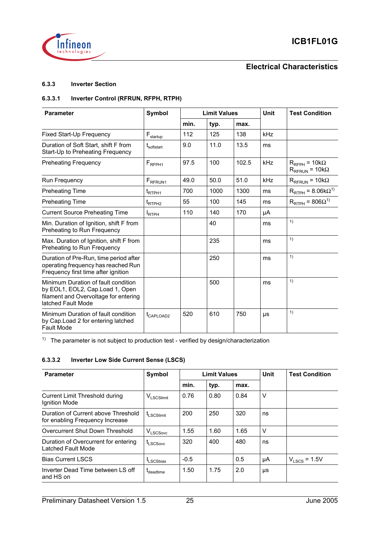

#### **6.3.3 Inverter Section**

#### **6.3.3.1 Inverter Control (RFRUN, RFPH, RTPH)**

| <b>Parameter</b>                                                                                                                      | <b>Symbol</b>          |      | <b>Limit Values</b> |       | <b>Unit</b> | <b>Test Condition</b>                                   |
|---------------------------------------------------------------------------------------------------------------------------------------|------------------------|------|---------------------|-------|-------------|---------------------------------------------------------|
|                                                                                                                                       |                        | min. | typ.                | max.  |             |                                                         |
| Fixed Start-Up Frequency                                                                                                              | $F_{\text{startup}}$   | 112  | 125                 | 138   | kHz         |                                                         |
| Duration of Soft Start, shift F from<br>Start-Up to Preheating Frequency                                                              | t <sub>softstart</sub> | 9.0  | 11.0                | 13.5  | ms          |                                                         |
| <b>Preheating Frequency</b>                                                                                                           | $F_{RFPH1}$            | 97.5 | 100                 | 102.5 | kHz         | $R_{RFPH}$ = 10k $\Omega$<br>$R_{RFRUN}$ = 10k $\Omega$ |
| Run Frequency                                                                                                                         | F <sub>RFRUN1</sub>    | 49.0 | 50.0                | 51.0  | kHz         | $R_{RFRUN}$ = 10k $\Omega$                              |
| <b>Preheating Time</b>                                                                                                                | t <sub>RTPH1</sub>     | 700  | 1000                | 1300  | ms          | $R_{\text{RTPH}}$ = 8.06k $\Omega^{1}$                  |
| <b>Preheating Time</b>                                                                                                                | t <sub>RTPH2</sub>     | 55   | 100                 | 145   | ms          | $R_{\text{RTPH}}$ = 806 $\Omega^{1}$                    |
| <b>Current Source Preheating Time</b>                                                                                                 | <b>I</b> RTPH          | 110  | 140                 | 170   | μA          |                                                         |
| Min. Duration of Ignition, shift F from<br>Preheating to Run Frequency                                                                |                        |      | 40                  |       | ms          | 1)                                                      |
| Max. Duration of Ignition, shift F from<br>Preheating to Run Frequency                                                                |                        |      | 235                 |       | ms          | 1)                                                      |
| Duration of Pre-Run, time period after<br>operating frequency has reached Run<br>Frequency first time after ignition                  |                        |      | 250                 |       | ms          | 1)                                                      |
| Minimum Duration of fault condition<br>by EOL1, EOL2, Cap.Load 1, Open<br>filament and Overvoltage for entering<br>latched Fault Mode |                        |      | 500                 |       | ms          | 1)                                                      |
| Minimum Duration of fault condition<br>by Cap. Load 2 for entering latched<br><b>Fault Mode</b>                                       | t <sub>CAPLOAD2</sub>  | 520  | 610                 | 750   | μs          | 1)                                                      |

<sup>1)</sup> The parameter is not subject to production test - verified by design/characterization

#### **6.3.3.2 Inverter Low Side Current Sense (LSCS)**

| <b>Parameter</b>                                                       | Symbol                            |        | <b>Limit Values</b> |      | Unit | <b>Test Condition</b> |
|------------------------------------------------------------------------|-----------------------------------|--------|---------------------|------|------|-----------------------|
|                                                                        |                                   | min.   | typ.                | max. |      |                       |
| <b>Current Limit Threshold during</b><br>Ignition Mode                 | $V_{LSCSlimit}$                   | 0.76   | 0.80                | 0.84 | V    |                       |
| Duration of Current above Threshold<br>for enabling Frequency Increase | t <sub>LSCSlimit</sub>            | 200    | 250                 | 320  | ns   |                       |
| Overcurrent Shut Down Threshold                                        | $V_{LSCSovc}$                     | 1.55   | 1.60                | 1.65 | V    |                       |
| Duration of Overcurrent for entering<br>Latched Fault Mode             | L <sub>L</sub> SCS <sub>ovc</sub> | 320    | 400                 | 480  | ns   |                       |
| <b>Bias Current LSCS</b>                                               | <b>LSCSbias</b>                   | $-0.5$ |                     | 0.5  | μA   | $V_{LSCS}$ = 1.5V     |
| Inverter Dead Time between LS off<br>and HS on                         | <b>L</b> deadtime                 | 1.50   | 1.75                | 2.0  | μs   |                       |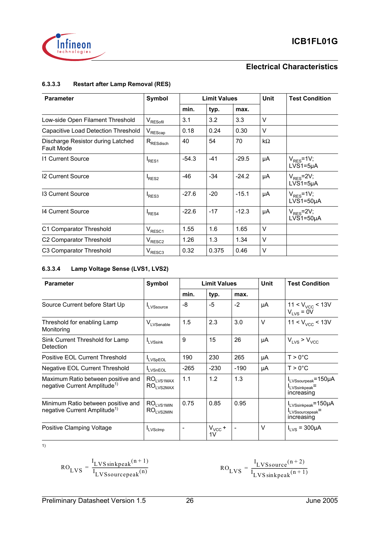



#### **6.3.3.3 Restart after Lamp Removal (RES)**

| <b>Parameter</b>                                       | Symbol                 | <b>Limit Values</b> |       |         |           | <b>Test Condition</b>            |
|--------------------------------------------------------|------------------------|---------------------|-------|---------|-----------|----------------------------------|
|                                                        |                        | min.                | typ.  | max.    |           |                                  |
| Low-side Open Filament Threshold                       | $V_{\text{RESofil}}$   | 3.1                 | 3.2   | 3.3     | V         |                                  |
| Capacitive Load Detection Threshold                    | $V_{\mathsf{REScap}}$  | 0.18                | 0.24  | 0.30    | v         |                                  |
| Discharge Resistor during Latched<br><b>Fault Mode</b> | $R_{\text{RES}}$ disch | 40                  | 54    | 70      | $k\Omega$ |                                  |
| 11 Current Source                                      | RES <sub>1</sub>       | $-54.3$             | $-41$ | $-29.5$ | μA        | $V_{RFS}$ =1V;<br>$LVS1=5\mu A$  |
| 12 Current Source                                      | RES <sub>2</sub>       | $-46$               | $-34$ | $-24.2$ | μA        | $V_{RES}$ =2V;<br>$LVS1=5\mu A$  |
| 13 Current Source                                      | RES3                   | $-27.6$             | $-20$ | $-15.1$ | μA        | $V_{RES}$ =1V;<br>$LVS1=50\mu A$ |
| 14 Current Source                                      | RES <sub>4</sub>       | $-22.6$             | $-17$ | $-12.3$ | μA        | $V_{RES}$ =2V;<br>$LVS1=50\mu A$ |
| C1 Comparator Threshold                                | $V_{RESC1}$            | 1.55                | 1.6   | 1.65    | $\vee$    |                                  |
| C <sub>2</sub> Comparator Threshold                    | $V_{RESC2}$            | 1.26                | 1.3   | 1.34    | v         |                                  |
| C3 Comparator Threshold                                | $V_{RESC3}$            | 0.32                | 0.375 | 0.46    | ٧         |                                  |

#### **6.3.3.4 Lamp Voltage Sense (LVS1, LVS2)**

| <b>Parameter</b>                                                               | Symbol                                             |        | <b>Limit Values</b>           |        | Unit   | <b>Test Condition</b>                                                       |
|--------------------------------------------------------------------------------|----------------------------------------------------|--------|-------------------------------|--------|--------|-----------------------------------------------------------------------------|
|                                                                                |                                                    | min.   | typ.                          | max.   |        |                                                                             |
| Source Current before Start Up                                                 | LVSsource                                          | -8     | $-5$                          | $-2$   | μA     | 11 < $V_{VCC}$ < 13V<br>$V_{1VS} = 0V$                                      |
| Threshold for enabling Lamp<br>Monitoring                                      | VLVSenable                                         | 1.5    | 2.3                           | 3.0    | V      | $11 < V_{VCC}$ < 13V                                                        |
| Sink Current Threshold for Lamp<br>Detection                                   | <b>LVSsink</b>                                     | 9      | 15                            | 26     | μA     | $V_{LVS}$ > $V_{VCC}$                                                       |
| Positive EOL Current Threshold                                                 | <b>ILVSpEOL</b>                                    | 190    | 230                           | 265    | μA     | $T > 0$ °C                                                                  |
| <b>Negative EOL Current Threshold</b>                                          | <b>LVSnEOL</b>                                     | $-265$ | $-230$                        | $-190$ | μA     | $T > 0$ °C                                                                  |
| Maximum Ratio between positive and<br>negative Current Amplitude <sup>1)</sup> | $RO_{LVS1MAX}$<br>RO <sub>LVS2MAX</sub>            | 1.1    | 1.2                           | 1.3    |        | $I_{LVSsourpeak} = 150 \mu A$<br>ILVSsinkpeak <sup>=</sup><br>increasing    |
| Minimum Ratio between positive and<br>negative Current Amplitude <sup>1)</sup> | $RO$ <sub>LVS1MIN</sub><br>$RO$ <sub>LVS2MIN</sub> | 0.75   | 0.85                          | 0.95   |        | LVSsinkpeak <sup>=150</sup> µA<br>ILVSsourcepeak <sup>=</sup><br>increasing |
| Positive Clamping Voltage                                                      | <b>ILVScimp</b>                                    |        | $V_{VCC}$ +<br>1 <sub>V</sub> |        | $\vee$ | $I_{LVS}$ = 300µA                                                           |

1)

$$
RO_{LVS} = \frac{I_{LVS\sin kpeak}(n+1)}{I_{LVS\source peak}(n)}
$$

 $\text{I}_{\text{LVSsource}}(\text{n} + 2)$  $=\frac{E\text{v} \text{ssource}}{I_L \text{VS} \text{sinkpeak}}$ (n+1)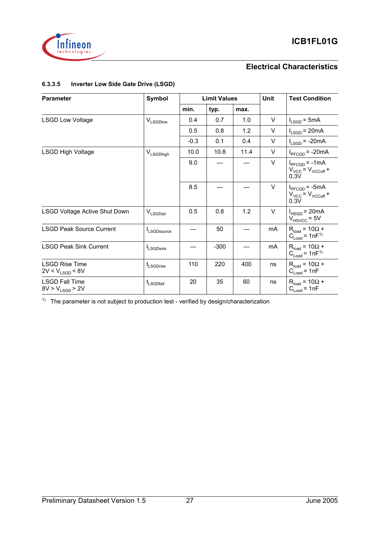



#### **6.3.3.5 Inverter Low Side Gate Drive (LSGD)**

| <b>Parameter</b>                              | Symbol                |        | <b>Limit Values</b> |      | Unit   | <b>Test Condition</b>                                                   |
|-----------------------------------------------|-----------------------|--------|---------------------|------|--------|-------------------------------------------------------------------------|
|                                               |                       | min.   | typ.                | max. |        |                                                                         |
| <b>LSGD Low Voltage</b>                       | V <sub>LSGDlow</sub>  | 0.4    | 0.7                 | 1.0  | $\vee$ | $I_{LSGD}$ = 5mA                                                        |
|                                               |                       | 0.5    | 0.8                 | 1.2  | V      | $I_{LSGD}$ = 20mA                                                       |
|                                               |                       | $-0.3$ | 0.1                 | 0.4  | V      | $I_{LSGD}$ = -20mA                                                      |
| <b>LSGD High Voltage</b>                      | V <sub>LSGDhigh</sub> | 10.0   | 10.8                | 11.4 | V      | $I_{\text{PFCGD}} = -20 \text{mA}$                                      |
|                                               |                       | 9.0    |                     |      | $\vee$ | $I_{\text{PFCGD}} = -1 \text{mA}$<br>$V_{VCC}$ = $V_{VCCOff}$ +<br>0.3V |
|                                               |                       | 8.5    |                     |      | $\vee$ | $I_{\text{PFCGD}}$ = -5mA<br>$V_{VCC}$ = $V_{VCCOff}$ +<br>0.3V         |
| <b>LSGD Voltage Active Shut Down</b>          | $V_{LSGDSd}$          | 0.5    | 0.8                 | 1.2  | $\vee$ | $I_{HSGD}$ = 20mA<br>$V_{\text{HSVCC}}$ = 5V                            |
| <b>LSGD Peak Source Current</b>               | <b>I</b> LSGDsource   |        | 50                  |      | mA     | $R_{load} = 10\Omega +$<br>$C_{Load} = 1nF^{1}$                         |
| <b>LSGD Peak Sink Current</b>                 | <b>ILSGDsink</b>      |        | $-300$              |      | mA     | $R_{load} = 10\Omega +$<br>$C_{\text{Load}} = 1nF^{1}$                  |
| <b>LSGD Rise Time</b><br>$2V < V_{LSGD} < 8V$ | t <sub>LSGDrise</sub> | 110    | 220                 | 400  | ns     | $R_{load} = 10\Omega +$<br>$C_{Load} = 1nF$                             |
| <b>LSGD Fall Time</b><br>$8V > V_{LSGD} > 2V$ | t <sub>LSGDfall</sub> | 20     | 35                  | 60   | ns     | $R_{load} = 10\Omega +$<br>$C_{Load} = 1nF$                             |

<sup>1)</sup> The parameter is not subject to production test - verified by design/characterization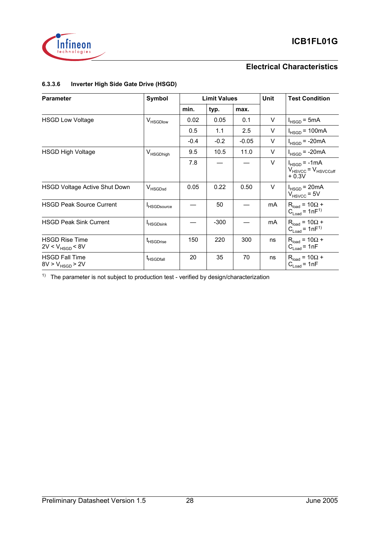

#### **6.3.3.6 Inverter High Side Gate Drive (HSGD)**

| <b>Parameter</b>                              | Symbol                |        | <b>Limit Values</b> |         | Unit | <b>Test Condition</b>                                        |
|-----------------------------------------------|-----------------------|--------|---------------------|---------|------|--------------------------------------------------------------|
|                                               |                       | min.   | typ.                | max.    |      |                                                              |
| <b>HSGD Low Voltage</b>                       | V <sub>HSGDlow</sub>  | 0.02   | 0.05                | 0.1     | V    | $I_{HSGD} = 5mA$                                             |
|                                               |                       | 0.5    | 1.1                 | 2.5     | V    | $I_{HSGD}$ = 100mA                                           |
|                                               |                       | $-0.4$ | $-0.2$              | $-0.05$ | V    | $I_{HSGD}$ = -20mA                                           |
| <b>HSGD High Voltage</b>                      | V <sub>HSGDhigh</sub> | 9.5    | 10.5                | 11.0    | V    | $I_{HSGD}$ = -20mA                                           |
|                                               |                       | 7.8    |                     |         | V    | $I_{HSGD}$ = -1mA<br>$V_{HSVCC}$ = $V_{HSVCCoff}$<br>$+0.3V$ |
| <b>HSGD Voltage Active Shut Down</b>          | V <sub>HSGDsd</sub>   | 0.05   | 0.22                | 0.50    | V    | $I_{HSGD}$ = 20mA<br>$V_{HSVCC}$ = 5V                        |
| <b>HSGD Peak Source Current</b>               | <b>I</b> HSGDsource   |        | 50                  |         | mA   | $R_{load} = 10\Omega +$<br>$C_{\text{Load}} = 1nF^{1}$       |
| <b>HSGD Peak Sink Current</b>                 | <sup>I</sup> HSGDsink |        | $-300$              |         | mA   | $R_{load} = 10\Omega +$<br>$C_{\text{Load}} = 1nF^{1}$       |
| <b>HSGD Rise Time</b><br>$2V < V_{HSGD} < 8V$ | <b>L</b> HSGDrise     | 150    | 220                 | 300     | ns   | $R_{load} = 10\Omega +$<br>$C_{Load} = 1nF$                  |
| <b>HSGD Fall Time</b><br>$8V > V_{HSGD} > 2V$ | <b>L</b> HSGDfall     | 20     | 35                  | 70      | ns   | $R_{load} = 10\Omega +$<br>$C_{Load} = 1nF$                  |

<sup>1)</sup> The parameter is not subject to production test - verified by design/characterization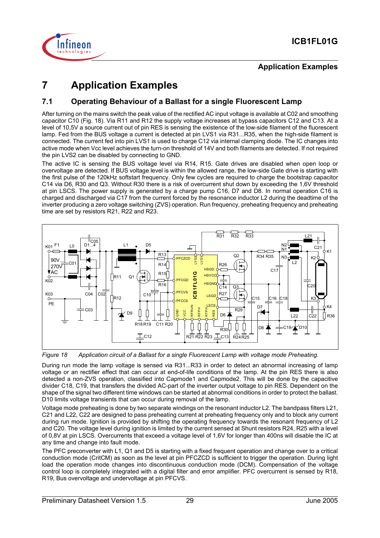

## **7 Application Examples**

#### **7.1 Operating Behaviour of a Ballast for a single Fluorescent Lamp**

After turning on the mains switch the peak value of the rectified AC input voltage is available at C02 and smoothing capacitor C10 (Fig. 18). Via R11 and R12 the supply voltage increases at bypass capacitors C12 and C13. At a level of 10,5V a source current out of pin RES is sensing the existence of the low-side filament of the fluorescent lamp. Fed from the BUS voltage a current is detected at pin LVS1 via R31...R35, when the high-side filament is connected. The current fed into pin LVS1 is used to charge C12 via internal clamping diode. The IC changes into active mode when Vcc level achieves the turn-on threshold of 14V and both filaments are detected. If not required the pin LVS2 can be disabled by connecting to GND.

The active IC is sensing the BUS voltage level via R14, R15. Gate drives are disabled when open loop or overvoltage are detected. If BUS voltage level is within the allowed range, the low-side Gate drive is starting with the first pulse of the 120kHz softstart frequency. Only few cycles are required to charge the bootstrap capacitor C14 via D6, R30 and Q3. Without R30 there is a risk of overcurrent shut down by exceeding the 1,6V threshold at pin LSCS. The power supply is generated by a charge pump C16, D7 and D8. In normal operation C16 is charged and discharged via C17 from the current forced by the resonance inductor L2 during the deadtime of the inverter producing a zero voltage switching (ZVS) operation. Run frequency, preheating frequency and preheating time are set by resistors R21, R22 and R23.



*Figure 18 Application circuit of a Ballast for a single Fluorescent Lamp with voltage mode Preheating.*

During run mode the lamp voltage is sensed via R31...R33 in order to detect an abnormal increasing of lamp voltage or an rectifier effect that can occur at end-of-life conditions of the lamp. At the pin RES there is also detected a non-ZVS operation, classified into Capmode1 and Capmode2. This will be done by the capacitive divider C18, C19, that transfers the divided AC-part of the inverter output voltage to pin RES. Dependent on the shape of the signal two different time windows can be started at abnormal conditions in order to protect the ballast. D10 limits voltage transients that can occur during removal of the lamp.

Voltage mode preheating is done by two separate windings on the resonant inductor L2. The bandpass filters L21, C21 and L22, C22 are designed to pass preheating current at preheating frequency only and to block any current during run mode. Ignition is provided by shifting the operating frequency towards the resonant frequency of L2 and C20. The voltage level during ignition is limited by the current sensed at Shunt resistors R24, R25 with a level of 0,8V at pin LSCS. Overcurrents that exceed a voltage level of 1,6V for longer than 400ns will disable the IC at any time and change into fault mode. Figure 18 Application circuit of a Ballast for a single<br>Eigenve 18 Application circuit of a Ballast for a single<br>During run mode the lamp voltage is sensed via R31.<br>Voltage or an rectifier effect that can occur at end-of-

The PFC preconverter with L1, Q1 and D5 is starting with a fixed frequent operation and change over to a critical conduction mode (CritCM) as soon as the level at pin PFCZCD is sufficient to trigger the operation. During light load the operation mode changes into discontinuous conduction mode (DCM). Compensation of the voltage control loop is completely integrated with a digital filter and error amplifier. PFC overcurrent is sensed by R18,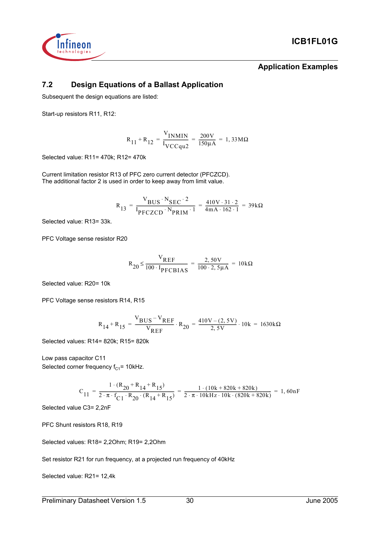

**Application Examples**

### **7.2 Design Equations of a Ballast Application**

Subsequent the design equations are listed:

Start-up resistors R11, R12:

$$
R_{11} + R_{12} = \frac{V_{INMIN}}{V_{VCCqu2}} = \frac{200V}{150 \mu A} = 1,33 M\Omega
$$

Selected value: R11= 470k; R12= 470k

Current limitation resistor R13 of PFC zero current detector (PFCZCD). The additional factor 2 is used in order to keep away from limit value.

$$
R_{13} = \frac{V_{BUS} \cdot N_{SEC} \cdot 2}{I_{PFCZCD} \cdot N_{PRIM} \cdot 1} = \frac{410V \cdot 31 \cdot 2}{4mA \cdot 162 \cdot 1} = 39k\Omega
$$

Selected value: R13= 33k.

PFC Voltage sense resistor R20

$$
R_{20} \le \frac{V_{REF}}{100 \cdot I_{PFCBIAS}} = \frac{2,50V}{100 \cdot 2,5 \mu A} = 10k\Omega
$$

Selected value: R20= 10k

PFC Voltage sense resistors R14, R15

$$
R_{14} + R_{15} = \frac{V_{BUS} - V_{REF}}{V_{REF}} \cdot R_{20} = \frac{410V - (2, 5V)}{2, 5V} \cdot 10k = 1630k\Omega
$$

Selected values: R14= 820k; R15= 820k

Low pass capacitor C11 Selected corner frequency  $f_{C1}$ = 10kHz.

$$
C_{11} = \frac{1 \cdot (R_{20} + R_{14} + R_{15})}{2 \cdot \pi \cdot f_{C1} \cdot R_{20} \cdot (R_{14} + R_{15})} = \frac{1 \cdot (10k + 820k + 820k)}{2 \cdot \pi \cdot 10kHz \cdot 10k \cdot (820k + 820k)} = 1,60nF
$$

Selected value C3= 2,2nF

PFC Shunt resistors R18, R19

Selected values: R18= 2,2Ohm; R19= 2,2Ohm

Set resistor R21 for run frequency, at a projected run frequency of 40kHz

Selected value: R21= 12,4k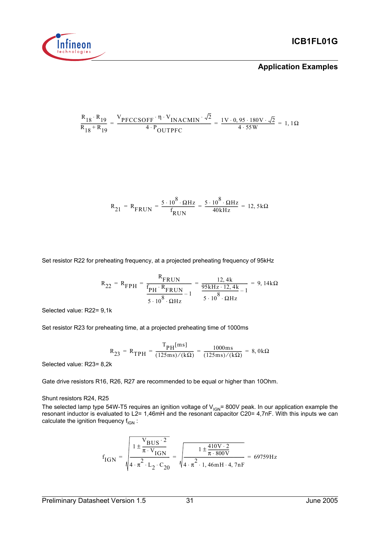

$$
\frac{R_{18} \cdot R_{19}}{R_{18} + R_{19}} = \frac{V_{PFCCSOFF} \cdot \eta \cdot V_{INACMIN} \cdot \sqrt{2}}{4 \cdot P_{OUTPFC}} = \frac{1 \cdot 0.95 \cdot 180 \cdot V \cdot \sqrt{2}}{4 \cdot 55 \cdot W} = 1,1 \cdot \Omega
$$

$$
R_{21} = R_{FRUN} = \frac{5 \cdot 10^8 \cdot \Omega Hz}{f_{RUN}} = \frac{5 \cdot 10^8 \cdot \Omega Hz}{40kHz} = 12,5k\Omega
$$

Set resistor R22 for preheating frequency, at a projected preheating frequency of 95kHz

$$
R_{22} = R_{\text{FPH}} = \frac{R_{\text{FRUN}}}{\frac{f_{\text{PH}} \cdot R_{\text{FRUN}}}{5 \cdot 10^8 \cdot \Omega \text{Hz}} - 1} = \frac{12,4 \text{ k}}{95 \text{ kHz} \cdot 12,4 \text{ k}} - 1 = 9,14 \text{ k}\Omega
$$

Selected value: R22= 9,1k

Set resistor R23 for preheating time, at a projected preheating time of 1000ms

$$
R_{23} = R_{TPH} = \frac{T_{PH}[ms]}{(125 \text{ ms}) / (k\Omega)} = \frac{1000 \text{ ms}}{(125 \text{ ms}) / (k\Omega)} = 8,0k\Omega
$$

Selected value: R23= 8,2k

Gate drive resistors R16, R26, R27 are recommended to be equal or higher than 10Ohm.

#### Shunt resistors R24, R25

The selected lamp type 54W-T5 requires an ignition voltage of V<sub>IGN</sub>= 800V peak. In our application example the resonant inductor is evaluated to L2= 1,46mH and the resonant capacitor C20= 4,7nF. With this inputs we can calculate the ignition frequency  $f_{IGN}$ :

$$
f_{IGN} = \sqrt{\frac{1 \pm \frac{V_{BUS} \cdot 2}{\pi \cdot V_{IGN}}}{4 \cdot \pi^2 \cdot L_2 \cdot C_{20}}} = \sqrt{\frac{1 \pm \frac{410V \cdot 2}{\pi \cdot 800V}}{4 \cdot \pi^2 \cdot 1,46mH \cdot 4,7nF}} = 69759 Hz
$$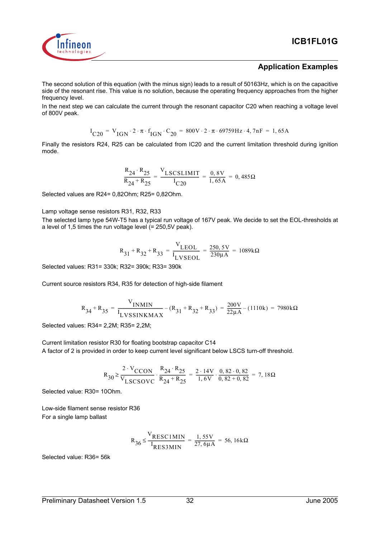

#### **Application Examples**

The second solution of this equation (with the minus sign) leads to a result of 50163Hz, which is on the capacitive side of the resonant rise. This value is no solution, because the operating frequency approaches from the higher frequency level.

In the next step we can calculate the current through the resonant capacitor C20 when reaching a voltage level of 800V peak.

$$
I_{C20} = V_{IGN} \cdot 2 \cdot \pi \cdot f_{IGN} \cdot C_{20} = 800V \cdot 2 \cdot \pi \cdot 69759Hz \cdot 4, 7nF = 1,65A
$$

Finally the resistors R24, R25 can be calculated from IC20 and the current limitation threshold during ignition mode.

$$
\frac{R_{24} \cdot R_{25}}{R_{24} + R_{25}} = \frac{V_{LSCSLIMIT}}{I_{C20}} = \frac{0,8V}{1,65A} = 0,485\Omega
$$

Selected values are R24= 0,82Ohm; R25= 0,82Ohm.

#### Lamp voltage sense resistors R31, R32, R33

The selected lamp type 54W-T5 has a typical run voltage of 167V peak. We decide to set the EOL-thresholds at a level of 1,5 times the run voltage level (= 250,5V peak).

$$
R_{31} + R_{32} + R_{33} = \frac{V_{LEOL}}{I_{LVSEOL}} = \frac{250,5V}{230 \mu A} = 1089 k\Omega
$$

Selected values: R31= 330k; R32= 390k; R33= 390k

Current source resistors R34, R35 for detection of high-side filament

$$
R_{34} + R_{35} = \frac{V_{INMIN}}{I_{LVSSINKMAX}} - (R_{31} + R_{32} + R_{33}) = \frac{200V}{22\mu A} - (1110k) = 7980k\Omega
$$

Selected values: R34= 2,2M; R35= 2,2M;

Current limitation resistor R30 for floating bootstrap capacitor C14 A factor of 2 is provided in order to keep current level significant below LSCS turn-off threshold.

$$
R_{30} \ge \frac{2 \cdot V_{CCON}}{V_{LSCSOVC}} \cdot \frac{R_{24} \cdot R_{25}}{R_{24} + R_{25}} = \frac{2 \cdot 14V}{1,6V} \cdot \frac{0,82 \cdot 0,82}{0,82 + 0,82} = 7,18\Omega
$$

Selected value: R30= 10Ohm.

Low-side filament sense resistor R36 For a single lamp ballast

$$
R_{36} \le \frac{V_{RESC1MIN}}{I_{RES3MIN}} = \frac{1,55V}{27,6\mu A} = 56,16k\Omega
$$

Selected value: R36= 56k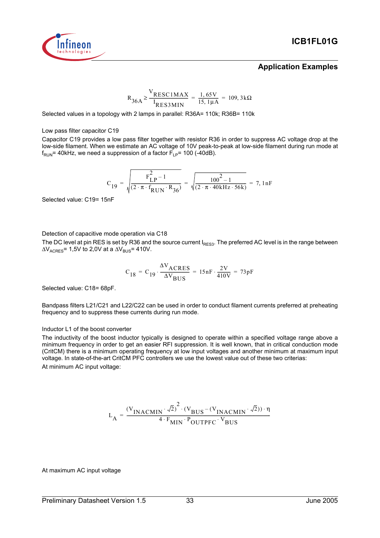

#### **Application Examples**

$$
R_{36A} \ge \frac{V_{RESC1MAX}}{I_{RES3MIN}} = \frac{1,65V}{15,1\mu A} = 109,3k\Omega
$$

Selected values in a topology with 2 lamps in parallel: R36A= 110k; R36B= 110k

#### Low pass filter capacitor C19

Capacitor C19 provides a low pass filter together with resistor R36 in order to suppress AC voltage drop at the low-side filament. When we estimate an AC voltage of 10V peak-to-peak at low-side filament during run mode at  $f_{\text{RUN}}$ = 40kHz, we need a suppression of a factor  $F_{\text{LP}}$ = 100 (-40dB).

$$
C_{19} = \sqrt{\frac{F_{LP}^2 - 1}{(2 \cdot \pi \cdot f_{RUN} \cdot R_{36})}} = \sqrt{\frac{100^2 - 1}{(2 \cdot \pi \cdot 40kHz \cdot 56k)}} = 7,1nF
$$

Selected value: C19= 15nF

Detection of capacitive mode operation via C18

The DC level at pin RES is set by R36 and the source current  $I_{BES3}$ . The preferred AC level is in the range between  $\Delta V_{\text{ACRFS}}$ = 1,5V to 2,0V at a  $\Delta V_{\text{RIS}}$ = 410V.

$$
C_{18} = C_{19} \cdot \frac{\Delta V_{ACRES}}{\Delta V_{BUS}} = 15nF \cdot \frac{2V}{410V} = 73pF
$$

Selected value: C18= 68pF.

Bandpass filters L21/C21 and L22/C22 can be used in order to conduct filament currents preferred at preheating frequency and to suppress these currents during run mode.

#### Inductor L1 of the boost converter

The inductivity of the boost inductor typically is designed to operate within a specified voltage range above a minimum frequency in order to get an easier RFI suppression. It is well known, that in critical conduction mode (CritCM) there is a minimum operating frequency at low input voltages and another minimum at maximum input voltage. In state-of-the-art CritCM PFC controllers we use the lowest value out of these two criterias: At minimum AC input voltage:

$$
L_{A} = \frac{(v_{INACMIN} \cdot \sqrt{2})^{2} \cdot (v_{BUS} - (v_{INACMIN} \cdot \sqrt{2})) \cdot \eta}{4 \cdot F_{MIN} \cdot P_{OUTPFC} \cdot V_{BUS}}
$$

At maximum AC input voltage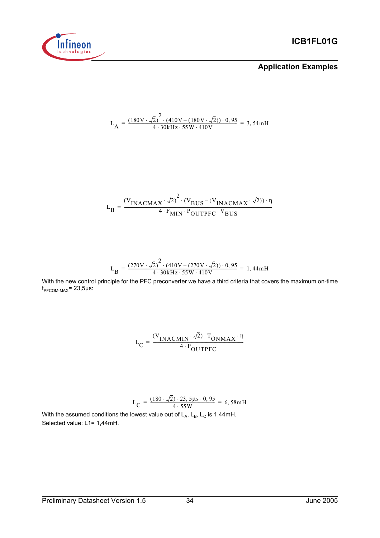

$$
L_{A} = \frac{(180V \cdot \sqrt{2})^{2} \cdot (410V - (180V \cdot \sqrt{2})) \cdot 0,95}{4 \cdot 30kHz \cdot 55W \cdot 410V} = 3,54mH
$$

$$
L_{B} = \frac{(V_{INACMAX} \cdot \sqrt{2})^{2} \cdot (V_{BUS} - (V_{INACMAX} \cdot \sqrt{2})) \cdot \eta}{4 \cdot F_{MIN} \cdot P_{OUTPFC} \cdot V_{BUS}}
$$

$$
L_{\rm B} = \frac{(270 \text{V} \cdot \sqrt{2})^2 \cdot (410 \text{V} - (270 \text{V} \cdot \sqrt{2})) \cdot 0,95}{4 \cdot 30 \text{kHz} \cdot 55 \text{W} \cdot 410 \text{V}} = 1,44 \text{mH}
$$

With the new control principle for the PFC preconverter we have a third criteria that covers the maximum on-time  $t_{\text{PFCOM-MAX}}$ = 23,5µs:

$$
L_C = \frac{(V_{\text{INACMIN}} \cdot \sqrt{2}) \cdot T_{\text{ONMAX}} \cdot \eta}{4 \cdot P_{\text{OUTPFC}}}
$$

$$
L_C = \frac{(180 \cdot \sqrt{2}) \cdot 23, 5\mu s \cdot 0, 95}{4 \cdot 55W} = 6,58 \text{ mH}
$$

With the assumed conditions the lowest value out of  $L_A$ ,  $L_B$ ,  $L_C$  is 1,44mH. Selected value: L1= 1,44mH.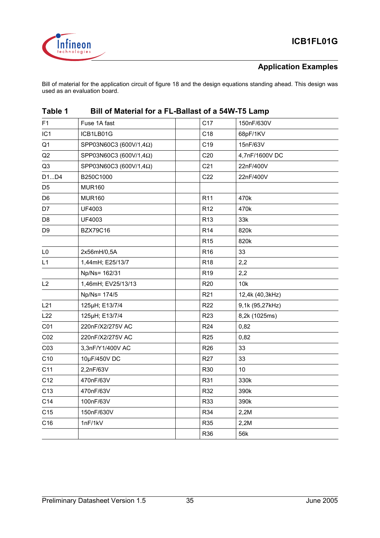

Bill of material for the application circuit of figure 18 and the design equations standing ahead. This design was used as an evaluation board.

| F1.             | Fuse 1A fast           | C <sub>17</sub> | 150nF/630V      |
|-----------------|------------------------|-----------------|-----------------|
| IC <sub>1</sub> | ICB1LB01G              | C <sub>18</sub> | 68pF/1KV        |
| Q <sub>1</sub>  | SPP03N60C3 (600V/1,4Ω) | C <sub>19</sub> | 15nF/63V        |
| Q2              | SPP03N60C3 (600V/1,4Ω) | C <sub>20</sub> | 4,7nF/1600V DC  |
| Q <sub>3</sub>  | SPP03N60C3 (600V/1,4Ω) | C <sub>21</sub> | 22nF/400V       |
| D1D4            | B250C1000              | C22             | 22nF/400V       |
| D <sub>5</sub>  | <b>MUR160</b>          |                 |                 |
| D <sub>6</sub>  | <b>MUR160</b>          | R <sub>11</sub> | 470k            |
| D7              | UF4003                 | R <sub>12</sub> | 470k            |
| D <sub>8</sub>  | UF4003                 | R <sub>13</sub> | 33k             |
| D <sub>9</sub>  | <b>BZX79C16</b>        | R <sub>14</sub> | 820k            |
|                 |                        | R <sub>15</sub> | 820k            |
| L <sub>0</sub>  | 2x56mH/0,5A            | R <sub>16</sub> | 33              |
| L1              | 1,44mH; E25/13/7       | R <sub>18</sub> | 2,2             |
|                 | Np/Ns= 162/31          | R <sub>19</sub> | 2,2             |
| L2              | 1,46mH; EV25/13/13     | R <sub>20</sub> | 10k             |
|                 | Np/Ns= 174/5           | R <sub>21</sub> | 12,4k (40,3kHz) |
| L21             | 125µH; E13/7/4         | R <sub>22</sub> | 9,1k (95,27kHz) |
| L22             | 125µH; E13/7/4         | R <sub>23</sub> | 8,2k (1025ms)   |
| C <sub>01</sub> | 220nF/X2/275V AC       | R <sub>24</sub> | 0,82            |
| CO <sub>2</sub> | 220nF/X2/275V AC       | R <sub>25</sub> | 0,82            |
| CO <sub>3</sub> | 3,3nF/Y1/400V AC       | R <sub>26</sub> | 33              |
| C10             | 10µF/450V DC           | <b>R27</b>      | 33              |
| C11             | 2,2nF/63V              | R30             | 10              |
| C12             | 470nF/63V              | R31             | 330k            |
| C <sub>13</sub> | 470nF/63V              | R32             | 390k            |
| C14             | 100nF/63V              | R33             | 390k            |
| C15             | 150nF/630V             | R34             | 2,2M            |
| C16             | 1nF/1kV                | R35             | 2,2M            |
|                 |                        | R36             | 56k             |

## **Table 1 Bill of Material for a FL-Ballast of a 54W-T5 Lamp**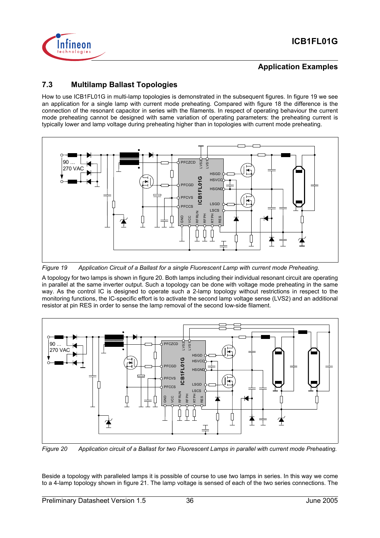

## **7.3 Multilamp Ballast Topologies**

How to use ICB1FL01G in multi-lamp topologies is demonstrated in the subsequent figures. In figure 19 we see an application for a single lamp with current mode preheating. Compared with figure 18 the difference is the connection of the resonant capacitor in series with the filaments. In respect of operating behaviour the current mode preheating cannot be designed with same variation of operating parameters: the preheating current is typically lower and lamp voltage during preheating higher than in topologies with current mode preheating.



*Figure 19 Application Circuit of a Ballast for a single Fluorescent Lamp with current mode Preheating.*

A topology for two lamps is shown in figure 20. Both lamps including their individual resonant circuit are operating in parallel at the same inverter output. Such a topology can be done with voltage mode preheating in the same way. As the control IC is designed to operate such a 2-lamp topology without restrictions in respect to the monitoring functions, the IC-specific effort is to activate the second lamp voltage sense (LVS2) and an additional resistor at pin RES in order to sense the lamp removal of the second low-side filament.



*Figure 20 Application circuit of a Ballast for two Fluorescent Lamps in parallel with current mode Preheating.*

Beside a topology with paralleled lamps it is possible of course to use two lamps in series. In this way we come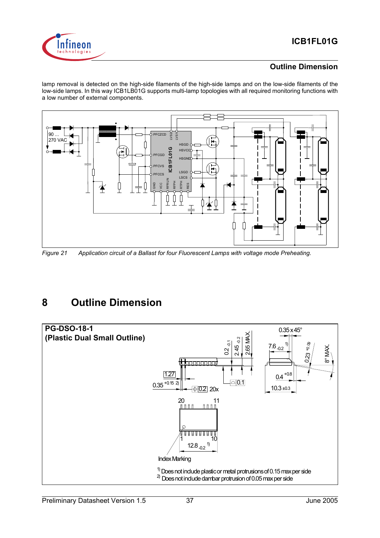

### **Outline Dimension**

lamp removal is detected on the high-side filaments of the high-side lamps and on the low-side filaments of the low-side lamps. In this way ICB1LB01G supports multi-lamp topologies with all required monitoring functions with a low number of external components.



*Figure 21 Application circuit of a Ballast for four Fluorescent Lamps with voltage mode Preheating.*